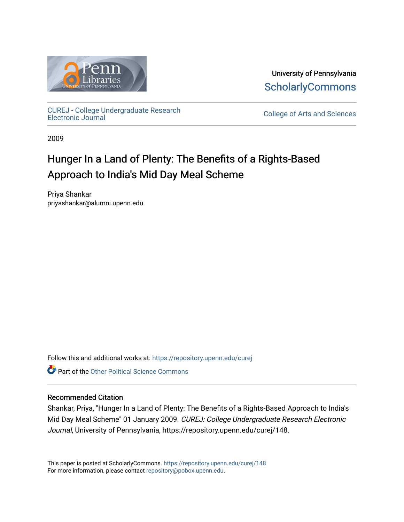

University of Pennsylvania **ScholarlyCommons** 

[CUREJ - College Undergraduate Research](https://repository.upenn.edu/curej) 

College of Arts and Sciences

2009

# Hunger In a Land of Plenty: The Benefits of a Rights-Based Approach to India's Mid Day Meal Scheme

Priya Shankar priyashankar@alumni.upenn.edu

Follow this and additional works at: [https://repository.upenn.edu/curej](https://repository.upenn.edu/curej?utm_source=repository.upenn.edu%2Fcurej%2F148&utm_medium=PDF&utm_campaign=PDFCoverPages)

**Part of the Other Political Science Commons** 

# Recommended Citation

Shankar, Priya, "Hunger In a Land of Plenty: The Benefits of a Rights-Based Approach to India's Mid Day Meal Scheme" 01 January 2009. CUREJ: College Undergraduate Research Electronic Journal, University of Pennsylvania, https://repository.upenn.edu/curej/148.

This paper is posted at ScholarlyCommons.<https://repository.upenn.edu/curej/148> For more information, please contact [repository@pobox.upenn.edu.](mailto:repository@pobox.upenn.edu)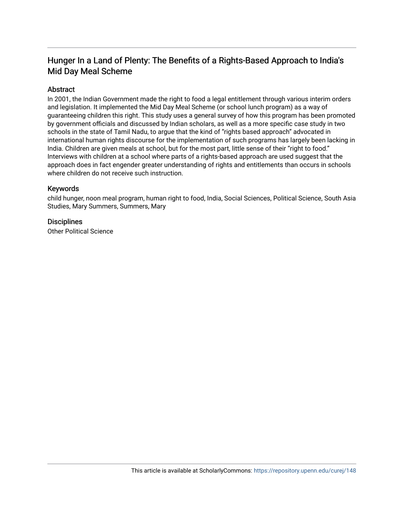# Hunger In a Land of Plenty: The Benefits of a Rights-Based Approach to India's Mid Day Meal Scheme

# **Abstract**

In 2001, the Indian Government made the right to food a legal entitlement through various interim orders and legislation. It implemented the Mid Day Meal Scheme (or school lunch program) as a way of guaranteeing children this right. This study uses a general survey of how this program has been promoted by government officials and discussed by Indian scholars, as well as a more specific case study in two schools in the state of Tamil Nadu, to argue that the kind of "rights based approach" advocated in international human rights discourse for the implementation of such programs has largely been lacking in India. Children are given meals at school, but for the most part, little sense of their "right to food." Interviews with children at a school where parts of a rights-based approach are used suggest that the approach does in fact engender greater understanding of rights and entitlements than occurs in schools where children do not receive such instruction.

#### Keywords

child hunger, noon meal program, human right to food, India, Social Sciences, Political Science, South Asia Studies, Mary Summers, Summers, Mary

# **Disciplines**

Other Political Science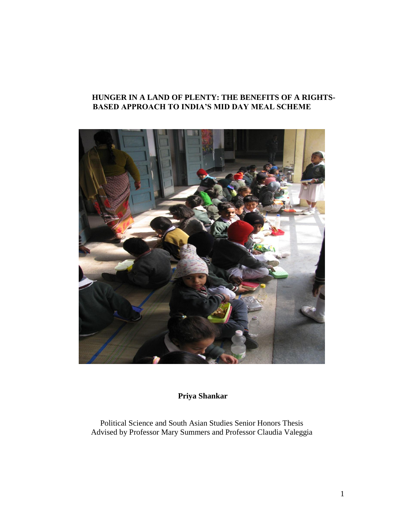# **HUNGER IN A LAND OF PLENTY: THE BENEFITS OF A RIGHTS-BASED APPROACH TO INDIA'S MID DAY MEAL SCHEME**



**Priya Shankar**

Political Science and South Asian Studies Senior Honors Thesis Advised by Professor Mary Summers and Professor Claudia Valeggia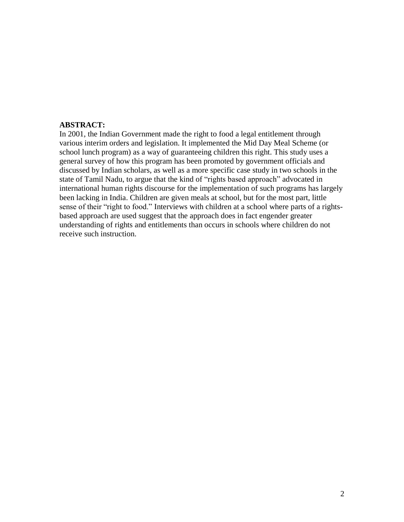# **ABSTRACT:**

In 2001, the Indian Government made the right to food a legal entitlement through various interim orders and legislation. It implemented the Mid Day Meal Scheme (or school lunch program) as a way of guaranteeing children this right. This study uses a general survey of how this program has been promoted by government officials and discussed by Indian scholars, as well as a more specific case study in two schools in the state of Tamil Nadu, to argue that the kind of "rights based approach" advocated in international human rights discourse for the implementation of such programs has largely been lacking in India. Children are given meals at school, but for the most part, little sense of their "right to food." Interviews with children at a school where parts of a rightsbased approach are used suggest that the approach does in fact engender greater understanding of rights and entitlements than occurs in schools where children do not receive such instruction.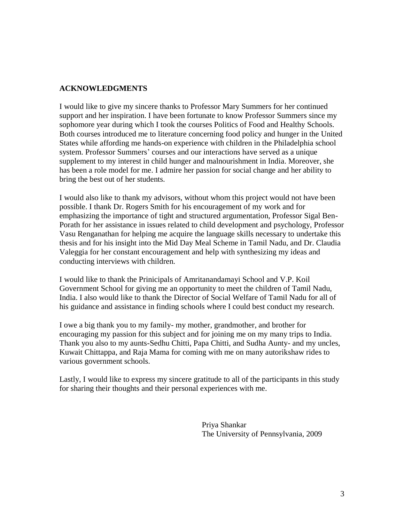# **ACKNOWLEDGMENTS**

I would like to give my sincere thanks to Professor Mary Summers for her continued support and her inspiration. I have been fortunate to know Professor Summers since my sophomore year during which I took the courses Politics of Food and Healthy Schools. Both courses introduced me to literature concerning food policy and hunger in the United States while affording me hands-on experience with children in the Philadelphia school system. Professor Summers' courses and our interactions have served as a unique supplement to my interest in child hunger and malnourishment in India. Moreover, she has been a role model for me. I admire her passion for social change and her ability to bring the best out of her students.

I would also like to thank my advisors, without whom this project would not have been possible. I thank Dr. Rogers Smith for his encouragement of my work and for emphasizing the importance of tight and structured argumentation, Professor Sigal Ben-Porath for her assistance in issues related to child development and psychology, Professor Vasu Renganathan for helping me acquire the language skills necessary to undertake this thesis and for his insight into the Mid Day Meal Scheme in Tamil Nadu, and Dr. Claudia Valeggia for her constant encouragement and help with synthesizing my ideas and conducting interviews with children.

I would like to thank the Prinicipals of Amritanandamayi School and V.P. Koil Government School for giving me an opportunity to meet the children of Tamil Nadu, India. I also would like to thank the Director of Social Welfare of Tamil Nadu for all of his guidance and assistance in finding schools where I could best conduct my research.

I owe a big thank you to my family- my mother, grandmother, and brother for encouraging my passion for this subject and for joining me on my many trips to India. Thank you also to my aunts-Sedhu Chitti, Papa Chitti, and Sudha Aunty- and my uncles, Kuwait Chittappa, and Raja Mama for coming with me on many autorikshaw rides to various government schools.

Lastly, I would like to express my sincere gratitude to all of the participants in this study for sharing their thoughts and their personal experiences with me.

> Priya Shankar The University of Pennsylvania, 2009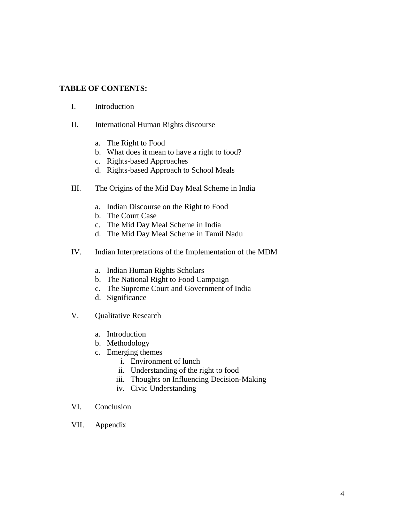# **TABLE OF CONTENTS:**

- I. Introduction
- II. International Human Rights discourse
	- a. The Right to Food
	- b. What does it mean to have a right to food?
	- c. Rights-based Approaches
	- d. Rights-based Approach to School Meals
- III. The Origins of the Mid Day Meal Scheme in India
	- a. Indian Discourse on the Right to Food
	- b. The Court Case
	- c. The Mid Day Meal Scheme in India
	- d. The Mid Day Meal Scheme in Tamil Nadu
- IV. Indian Interpretations of the Implementation of the MDM
	- a. Indian Human Rights Scholars
	- b. The National Right to Food Campaign
	- c. The Supreme Court and Government of India
	- d. Significance
- V. Qualitative Research
	- a. Introduction
	- b. Methodology
	- c. Emerging themes
		- i. Environment of lunch
		- ii. Understanding of the right to food
		- iii. Thoughts on Influencing Decision-Making
		- iv. Civic Understanding
- VI. Conclusion
- VII. Appendix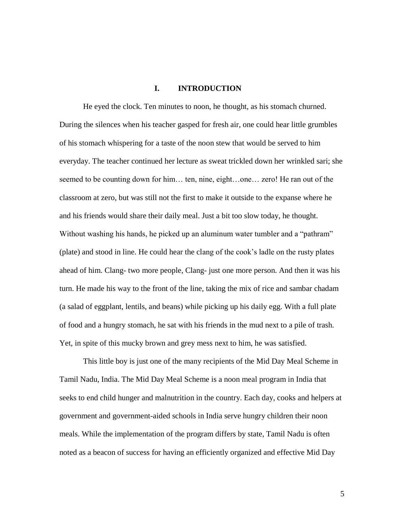#### **I. INTRODUCTION**

He eyed the clock. Ten minutes to noon, he thought, as his stomach churned. During the silences when his teacher gasped for fresh air, one could hear little grumbles of his stomach whispering for a taste of the noon stew that would be served to him everyday. The teacher continued her lecture as sweat trickled down her wrinkled sari; she seemed to be counting down for him… ten, nine, eight…one… zero! He ran out of the classroom at zero, but was still not the first to make it outside to the expanse where he and his friends would share their daily meal. Just a bit too slow today, he thought. Without washing his hands, he picked up an aluminum water tumbler and a "pathram" (plate) and stood in line. He could hear the clang of the cook's ladle on the rusty plates ahead of him. Clang- two more people, Clang- just one more person. And then it was his turn. He made his way to the front of the line, taking the mix of rice and sambar chadam (a salad of eggplant, lentils, and beans) while picking up his daily egg. With a full plate of food and a hungry stomach, he sat with his friends in the mud next to a pile of trash. Yet, in spite of this mucky brown and grey mess next to him, he was satisfied.

This little boy is just one of the many recipients of the Mid Day Meal Scheme in Tamil Nadu, India. The Mid Day Meal Scheme is a noon meal program in India that seeks to end child hunger and malnutrition in the country. Each day, cooks and helpers at government and government-aided schools in India serve hungry children their noon meals. While the implementation of the program differs by state, Tamil Nadu is often noted as a beacon of success for having an efficiently organized and effective Mid Day

5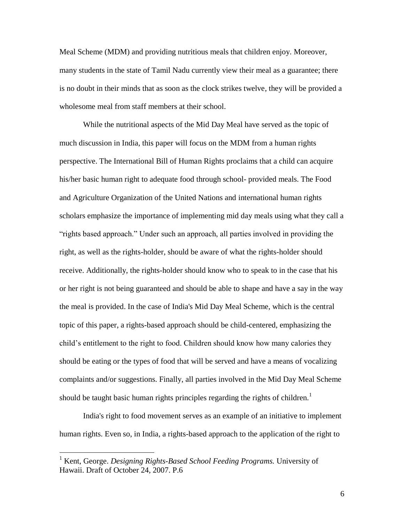Meal Scheme (MDM) and providing nutritious meals that children enjoy. Moreover, many students in the state of Tamil Nadu currently view their meal as a guarantee; there is no doubt in their minds that as soon as the clock strikes twelve, they will be provided a wholesome meal from staff members at their school.

While the nutritional aspects of the Mid Day Meal have served as the topic of much discussion in India, this paper will focus on the MDM from a human rights perspective. The International Bill of Human Rights proclaims that a child can acquire his/her basic human right to adequate food through school- provided meals. The Food and Agriculture Organization of the United Nations and international human rights scholars emphasize the importance of implementing mid day meals using what they call a "rights based approach." Under such an approach, all parties involved in providing the right, as well as the rights-holder, should be aware of what the rights-holder should receive. Additionally, the rights-holder should know who to speak to in the case that his or her right is not being guaranteed and should be able to shape and have a say in the way the meal is provided. In the case of India's Mid Day Meal Scheme, which is the central topic of this paper, a rights-based approach should be child-centered, emphasizing the child's entitlement to the right to food. Children should know how many calories they should be eating or the types of food that will be served and have a means of vocalizing complaints and/or suggestions. Finally, all parties involved in the Mid Day Meal Scheme should be taught basic human rights principles regarding the rights of children.<sup>1</sup>

India's right to food movement serves as an example of an initiative to implement human rights. Even so, in India, a rights-based approach to the application of the right to

<sup>1</sup> Kent, George. *Designing Rights-Based School Feeding Programs.* University of Hawaii. Draft of October 24, 2007. P.6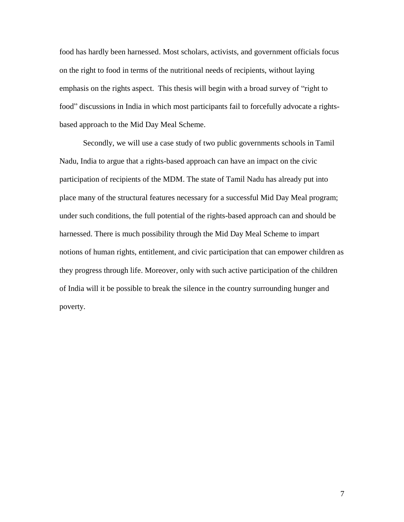food has hardly been harnessed. Most scholars, activists, and government officials focus on the right to food in terms of the nutritional needs of recipients, without laying emphasis on the rights aspect. This thesis will begin with a broad survey of "right to food" discussions in India in which most participants fail to forcefully advocate a rightsbased approach to the Mid Day Meal Scheme.

Secondly, we will use a case study of two public governments schools in Tamil Nadu, India to argue that a rights-based approach can have an impact on the civic participation of recipients of the MDM. The state of Tamil Nadu has already put into place many of the structural features necessary for a successful Mid Day Meal program; under such conditions, the full potential of the rights-based approach can and should be harnessed. There is much possibility through the Mid Day Meal Scheme to impart notions of human rights, entitlement, and civic participation that can empower children as they progress through life. Moreover, only with such active participation of the children of India will it be possible to break the silence in the country surrounding hunger and poverty.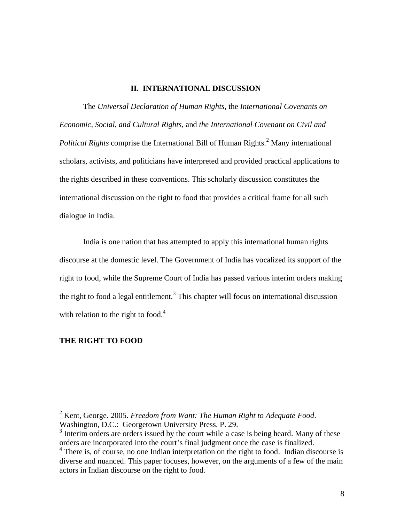# **II. INTERNATIONAL DISCUSSION**

The *Universal Declaration of Human Rights,* the *International Covenants on Economic, Social, and Cultural Rights*, and *the International Covenant on Civil and Political Rights* comprise the International Bill of Human Rights.<sup>2</sup> Many international scholars, activists, and politicians have interpreted and provided practical applications to the rights described in these conventions. This scholarly discussion constitutes the international discussion on the right to food that provides a critical frame for all such dialogue in India.

India is one nation that has attempted to apply this international human rights discourse at the domestic level. The Government of India has vocalized its support of the right to food, while the Supreme Court of India has passed various interim orders making the right to food a legal entitlement.<sup>3</sup> This chapter will focus on international discussion with relation to the right to food. $4$ 

#### **THE RIGHT TO FOOD**

<sup>2</sup> Kent, George. 2005. *Freedom from Want: The Human Right to Adequate Food*. Washington, D.C.: Georgetown University Press. P. 29.

 $3$  Interim orders are orders issued by the court while a case is being heard. Many of these orders are incorporated into the court's final judgment once the case is finalized.

<sup>&</sup>lt;sup>4</sup> There is, of course, no one Indian interpretation on the right to food. Indian discourse is diverse and nuanced. This paper focuses, however, on the arguments of a few of the main actors in Indian discourse on the right to food.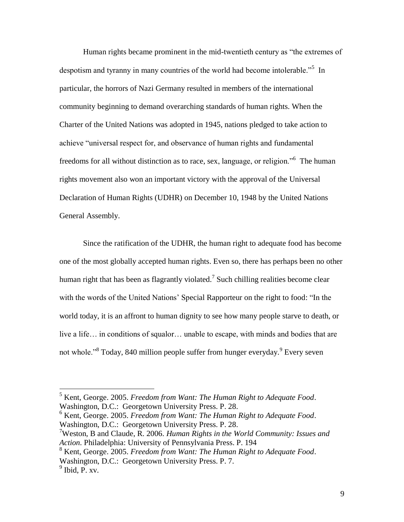Human rights became prominent in the mid-twentieth century as "the extremes of despotism and tyranny in many countries of the world had become intolerable."<sup>5</sup> In particular, the horrors of Nazi Germany resulted in members of the international community beginning to demand overarching standards of human rights. When the Charter of the United Nations was adopted in 1945, nations pledged to take action to achieve "universal respect for, and observance of human rights and fundamental freedoms for all without distinction as to race, sex, language, or religion."<sup>6</sup> The human rights movement also won an important victory with the approval of the Universal Declaration of Human Rights (UDHR) on December 10, 1948 by the United Nations General Assembly.

Since the ratification of the UDHR, the human right to adequate food has become one of the most globally accepted human rights. Even so, there has perhaps been no other human right that has been as flagrantly violated.<sup>7</sup> Such chilling realities become clear with the words of the United Nations' Special Rapporteur on the right to food: "In the world today, it is an affront to human dignity to see how many people starve to death, or live a life… in conditions of squalor… unable to escape, with minds and bodies that are not whole."<sup>8</sup> Today, 840 million people suffer from hunger everyday.<sup>9</sup> Every seven

<sup>6</sup> Kent, George. 2005. *Freedom from Want: The Human Right to Adequate Food*. Washington, D.C.: Georgetown University Press. P. 28.

<sup>7</sup>Weston, B and Claude, R. 2006. *Human Rights in the World Community: Issues and Action.* Philadelphia: University of Pennsylvania Press. P. 194

<sup>8</sup> Kent, George. 2005. *Freedom from Want: The Human Right to Adequate Food*. Washington, D.C.: Georgetown University Press. P. 7.

<sup>5</sup> Kent, George. 2005. *Freedom from Want: The Human Right to Adequate Food*. Washington, D.C.: Georgetown University Press. P. 28.

 $9$  Ibid, P. xv.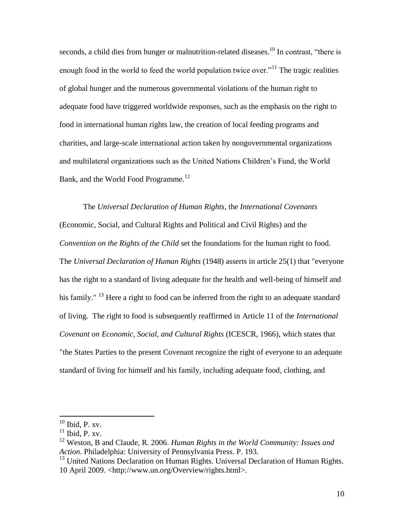seconds, a child dies from hunger or malnutrition-related diseases.<sup>10</sup> In contrast, "there is enough food in the world to feed the world population twice over.<sup>"11</sup> The tragic realities of global hunger and the numerous governmental violations of the human right to adequate food have triggered worldwide responses, such as the emphasis on the right to food in international human rights law, the creation of local feeding programs and charities, and large-scale international action taken by nongovernmental organizations and multilateral organizations such as the United Nations Children's Fund, the World Bank, and the World Food Programme.<sup>12</sup>

The *Universal Declaration of Human Rights*, the *International Covenants* (Economic, Social, and Cultural Rights and Political and Civil Rights) and the *Convention on the Rights of the Child* set the foundations for the human right to food. The *Universal Declaration of Human Rights* (1948) asserts in article 25(1) that "everyone has the right to a standard of living adequate for the health and well-being of himself and his family." <sup>13</sup> Here a right to food can be inferred from the right to an adequate standard of living. The right to food is subsequently reaffirmed in Article 11 of the *International Covenant on Economic, Social, and Cultural Rights* (ICESCR, 1966), which states that "the States Parties to the present Covenant recognize the right of everyone to an adequate standard of living for himself and his family, including adequate food, clothing, and

 $10$  Ibid, P. xv.

 $11$  Ibid, P. xv.

<sup>12</sup> Weston, B and Claude, R. 2006. *Human Rights in the World Community: Issues and Action.* Philadelphia: University of Pennsylvania Press. P. 193.

<sup>&</sup>lt;sup>13</sup> United Nations Declaration on Human Rights. Universal Declaration of Human Rights. 10 April 2009. <http://www.un.org/Overview/rights.html>.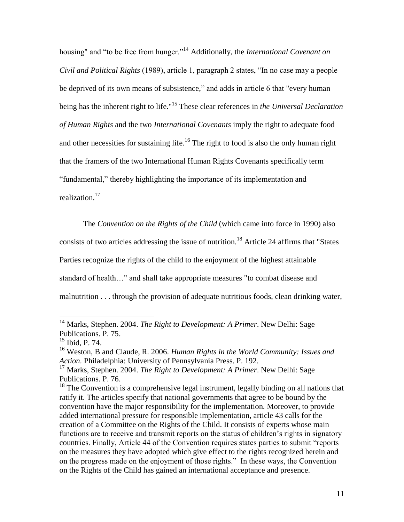housing" and "to be free from hunger."<sup>14</sup> Additionally, the *International Covenant on Civil and Political Rights* (1989), article 1, paragraph 2 states, "In no case may a people be deprived of its own means of subsistence," and adds in article 6 that "every human being has the inherent right to life."<sup>15</sup> These clear references in *the Universal Declaration of Human Rights* and the two *International Covenants* imply the right to adequate food and other necessities for sustaining life.<sup>16</sup> The right to food is also the only human right that the framers of the two International Human Rights Covenants specifically term "fundamental," thereby highlighting the importance of its implementation and realization.<sup>17</sup>

The *Convention on the Rights of the Child* (which came into force in 1990) also consists of two articles addressing the issue of nutrition.<sup>18</sup> Article 24 affirms that "States" Parties recognize the rights of the child to the enjoyment of the highest attainable standard of health…" and shall take appropriate measures "to combat disease and malnutrition . . . through the provision of adequate nutritious foods, clean drinking water,

<sup>14</sup> Marks, Stephen. 2004. *The Right to Development: A Primer*. New Delhi: Sage Publications. P. 75.

 $15$  Ibid, P. 74.

<sup>16</sup> Weston, B and Claude, R. 2006. *Human Rights in the World Community: Issues and Action.* Philadelphia: University of Pennsylvania Press. P. 192.

<sup>17</sup> Marks, Stephen. 2004. *The Right to Development: A Primer*. New Delhi: Sage Publications. P. 76.

<sup>&</sup>lt;sup>18</sup> The Convention is a comprehensive legal instrument, legally binding on all nations that ratify it. The articles specify that national governments that agree to be bound by the convention have the major responsibility for the implementation. Moreover, to provide added international pressure for responsible implementation, article 43 calls for the creation of a Committee on the Rights of the Child. It consists of experts whose main functions are to receive and transmit reports on the status of children's rights in signatory countries. Finally, Article 44 of the Convention requires states parties to submit "reports on the measures they have adopted which give effect to the rights recognized herein and on the progress made on the enjoyment of those rights." In these ways, the Convention on the Rights of the Child has gained an international acceptance and presence.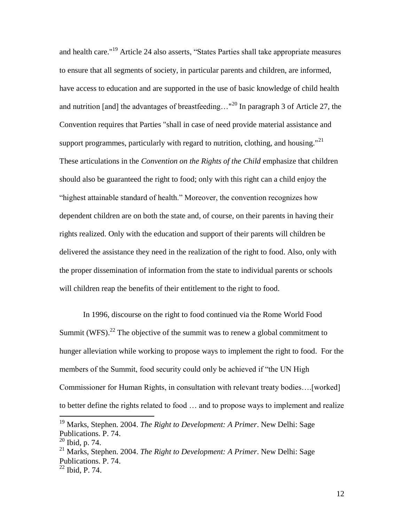and health care."<sup>19</sup> Article 24 also asserts, "States Parties shall take appropriate measures to ensure that all segments of society, in particular parents and children, are informed, have access to education and are supported in the use of basic knowledge of child health and nutrition [and] the advantages of breastfeeding..."<sup>20</sup> In paragraph 3 of Article 27, the Convention requires that Parties "shall in case of need provide material assistance and support programmes, particularly with regard to nutrition, clothing, and housing."<sup>21</sup> These articulations in the *Convention on the Rights of the Child* emphasize that children should also be guaranteed the right to food; only with this right can a child enjoy the "highest attainable standard of health." Moreover, the convention recognizes how dependent children are on both the state and, of course, on their parents in having their rights realized. Only with the education and support of their parents will children be delivered the assistance they need in the realization of the right to food. Also, only with the proper dissemination of information from the state to individual parents or schools will children reap the benefits of their entitlement to the right to food.

In 1996, discourse on the right to food continued via the Rome World Food Summit (WFS).<sup>22</sup> The objective of the summit was to renew a global commitment to hunger alleviation while working to propose ways to implement the right to food. For the members of the Summit, food security could only be achieved if "the UN High Commissioner for Human Rights, in consultation with relevant treaty bodies….[worked] to better define the rights related to food … and to propose ways to implement and realize

<sup>19</sup> Marks, Stephen. 2004. *The Right to Development: A Primer*. New Delhi: Sage Publications. P. 74.

<sup>20</sup> Ibid, p. 74.

<sup>21</sup> Marks, Stephen. 2004. *The Right to Development: A Primer*. New Delhi: Sage Publications. P. 74.

 $22$  Ibid, P. 74.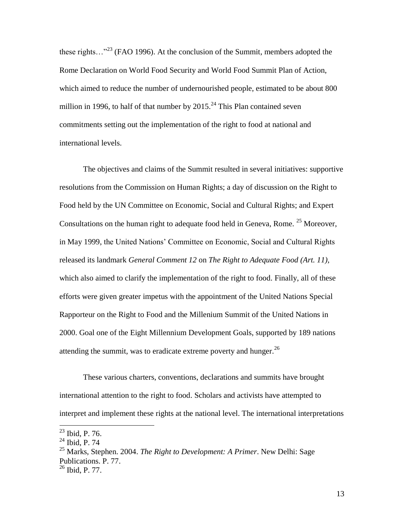these rights…"<sup>23</sup> (FAO 1996). At the conclusion of the Summit, members adopted the Rome Declaration on World Food Security and World Food Summit Plan of Action, which aimed to reduce the number of undernourished people, estimated to be about 800 million in 1996, to half of that number by  $2015.<sup>24</sup>$  This Plan contained seven commitments setting out the implementation of the right to food at national and international levels.

The objectives and claims of the Summit resulted in several initiatives: supportive resolutions from the Commission on Human Rights; a day of discussion on the Right to Food held by the UN Committee on Economic, Social and Cultural Rights; and Expert Consultations on the human right to adequate food held in Geneva, Rome.  $25$  Moreover, in May 1999, the United Nations' Committee on Economic, Social and Cultural Rights released its landmark *General Comment 12* on *The Right to Adequate Food (Art. 11),*  which also aimed to clarify the implementation of the right to food. Finally, all of these efforts were given greater impetus with the appointment of the United Nations Special Rapporteur on the Right to Food and the Millenium Summit of the United Nations in 2000. Goal one of the Eight Millennium Development Goals, supported by 189 nations attending the summit, was to eradicate extreme poverty and hunger.<sup>26</sup>

These various charters, conventions, declarations and summits have brought international attention to the right to food. Scholars and activists have attempted to interpret and implement these rights at the national level. The international interpretations

 $^{23}$  Ibid, P. 76.

 $24$  Ibid, P. 74

<sup>25</sup> Marks, Stephen. 2004. *The Right to Development: A Primer*. New Delhi: Sage Publications. P. 77.

<sup>26</sup> Ibid, P. 77.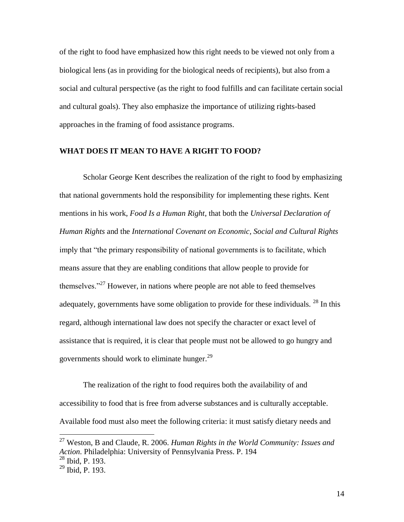of the right to food have emphasized how this right needs to be viewed not only from a biological lens (as in providing for the biological needs of recipients), but also from a social and cultural perspective (as the right to food fulfills and can facilitate certain social and cultural goals). They also emphasize the importance of utilizing rights-based approaches in the framing of food assistance programs.

#### **WHAT DOES IT MEAN TO HAVE A RIGHT TO FOOD?**

Scholar George Kent describes the realization of the right to food by emphasizing that national governments hold the responsibility for implementing these rights. Kent mentions in his work, *Food Is a Human Right*, that both the *Universal Declaration of Human Rights* and the *International Covenant on Economic, Social and Cultural Rights* imply that "the primary responsibility of national governments is to facilitate, which means assure that they are enabling conditions that allow people to provide for themselves."<sup>27</sup> However, in nations where people are not able to feed themselves adequately, governments have some obligation to provide for these individuals.  $^{28}$  In this regard, although international law does not specify the character or exact level of assistance that is required, it is clear that people must not be allowed to go hungry and governments should work to eliminate hunger.<sup>29</sup>

The realization of the right to food requires both the availability of and accessibility to food that is free from adverse substances and is culturally acceptable. Available food must also meet the following criteria: it must satisfy dietary needs and

<sup>27</sup> Weston, B and Claude, R. 2006. *Human Rights in the World Community: Issues and Action.* Philadelphia: University of Pennsylvania Press. P. 194

 $^{28}$  Ibid, P. 193.

 $29$  Ibid, P. 193.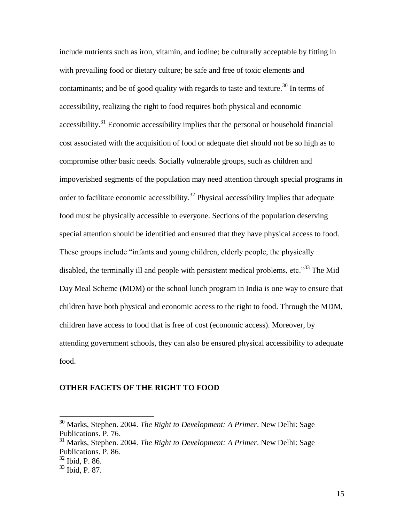include nutrients such as iron, vitamin, and iodine; be culturally acceptable by fitting in with prevailing food or dietary culture; be safe and free of toxic elements and contaminants; and be of good quality with regards to taste and texture.<sup>30</sup> In terms of accessibility, realizing the right to food requires both physical and economic accessibility.<sup>31</sup> Economic accessibility implies that the personal or household financial cost associated with the acquisition of food or adequate diet should not be so high as to compromise other basic needs. Socially vulnerable groups, such as children and impoverished segments of the population may need attention through special programs in order to facilitate economic accessibility.<sup>32</sup> Physical accessibility implies that adequate food must be physically accessible to everyone. Sections of the population deserving special attention should be identified and ensured that they have physical access to food. These groups include "infants and young children, elderly people, the physically disabled, the terminally ill and people with persistent medical problems, etc.<sup>33</sup> The Mid Day Meal Scheme (MDM) or the school lunch program in India is one way to ensure that children have both physical and economic access to the right to food. Through the MDM, children have access to food that is free of cost (economic access). Moreover, by attending government schools, they can also be ensured physical accessibility to adequate food.

#### **OTHER FACETS OF THE RIGHT TO FOOD**

<sup>30</sup> Marks, Stephen. 2004. *The Right to Development: A Primer*. New Delhi: Sage Publications. P. 76.

<sup>31</sup> Marks, Stephen. 2004. *The Right to Development: A Primer*. New Delhi: Sage Publications. P. 86.

<sup>32</sup> Ibid, P. 86.

<sup>33</sup> Ibid, P. 87.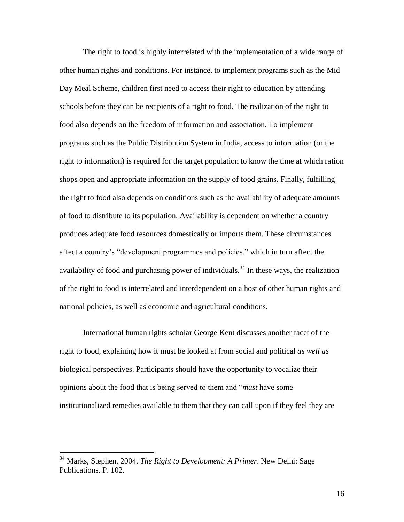The right to food is highly interrelated with the implementation of a wide range of other human rights and conditions. For instance, to implement programs such as the Mid Day Meal Scheme, children first need to access their right to education by attending schools before they can be recipients of a right to food. The realization of the right to food also depends on the freedom of information and association. To implement programs such as the Public Distribution System in India, access to information (or the right to information) is required for the target population to know the time at which ration shops open and appropriate information on the supply of food grains. Finally, fulfilling the right to food also depends on conditions such as the availability of adequate amounts of food to distribute to its population. Availability is dependent on whether a country produces adequate food resources domestically or imports them. These circumstances affect a country's "development programmes and policies," which in turn affect the availability of food and purchasing power of individuals.<sup>34</sup> In these ways, the realization of the right to food is interrelated and interdependent on a host of other human rights and national policies, as well as economic and agricultural conditions.

International human rights scholar George Kent discusses another facet of the right to food, explaining how it must be looked at from social and political *as well as* biological perspectives. Participants should have the opportunity to vocalize their opinions about the food that is being served to them and "*must* have some institutionalized remedies available to them that they can call upon if they feel they are

<sup>34</sup> Marks, Stephen. 2004. *The Right to Development: A Primer*. New Delhi: Sage Publications. P. 102.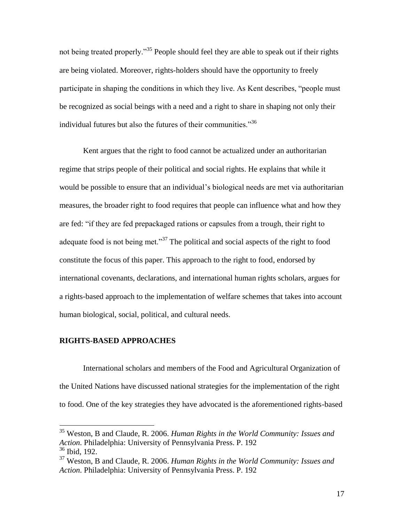not being treated properly.<sup>35</sup> People should feel they are able to speak out if their rights are being violated. Moreover, rights-holders should have the opportunity to freely participate in shaping the conditions in which they live. As Kent describes, "people must be recognized as social beings with a need and a right to share in shaping not only their individual futures but also the futures of their communities."<sup>36</sup>

Kent argues that the right to food cannot be actualized under an authoritarian regime that strips people of their political and social rights. He explains that while it would be possible to ensure that an individual's biological needs are met via authoritarian measures, the broader right to food requires that people can influence what and how they are fed: "if they are fed prepackaged rations or capsules from a trough, their right to adequate food is not being met."<sup>37</sup> The political and social aspects of the right to food constitute the focus of this paper. This approach to the right to food, endorsed by international covenants, declarations, and international human rights scholars, argues for a rights-based approach to the implementation of welfare schemes that takes into account human biological, social, political, and cultural needs.

#### **RIGHTS-BASED APPROACHES**

 $\overline{a}$ 

International scholars and members of the Food and Agricultural Organization of the United Nations have discussed national strategies for the implementation of the right to food. One of the key strategies they have advocated is the aforementioned rights-based

<sup>35</sup> Weston, B and Claude, R. 2006. *Human Rights in the World Community: Issues and Action.* Philadelphia: University of Pennsylvania Press. P. 192 <sup>36</sup> Ibid, 192.

<sup>37</sup> Weston, B and Claude, R. 2006. *Human Rights in the World Community: Issues and Action.* Philadelphia: University of Pennsylvania Press. P. 192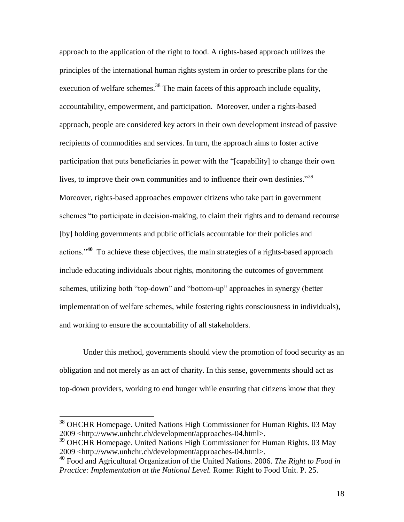approach to the application of the right to food. A rights-based approach utilizes the principles of the international human rights system in order to prescribe plans for the execution of welfare schemes.<sup>38</sup> The main facets of this approach include equality, accountability, empowerment, and participation. Moreover, under a rights-based approach, people are considered key actors in their own development instead of passive recipients of commodities and services. In turn, the approach aims to foster active participation that puts beneficiaries in power with the "[capability] to change their own lives, to improve their own communities and to influence their own destinies.<sup>39</sup> Moreover, rights-based approaches empower citizens who take part in government schemes "to participate in decision-making, to claim their rights and to demand recourse [by] holding governments and public officials accountable for their policies and actions."**<sup>40</sup>** To achieve these objectives, the main strategies of a rights-based approach include educating individuals about rights, monitoring the outcomes of government schemes, utilizing both "top-down" and "bottom-up" approaches in synergy (better implementation of welfare schemes, while fostering rights consciousness in individuals), and working to ensure the accountability of all stakeholders.

Under this method, governments should view the promotion of food security as an obligation and not merely as an act of charity. In this sense, governments should act as top-down providers, working to end hunger while ensuring that citizens know that they

<sup>38</sup> OHCHR Homepage. United Nations High Commissioner for Human Rights. 03 May 2009 <http://www.unhchr.ch/development/approaches-04.html>.

<sup>&</sup>lt;sup>39</sup> OHCHR Homepage. United Nations High Commissioner for Human Rights. 03 May 2009 <http://www.unhchr.ch/development/approaches-04.html>.

<sup>40</sup> Food and Agricultural Organization of the United Nations. 2006. *The Right to Food in Practice: Implementation at the National Level.* Rome: Right to Food Unit. P. 25.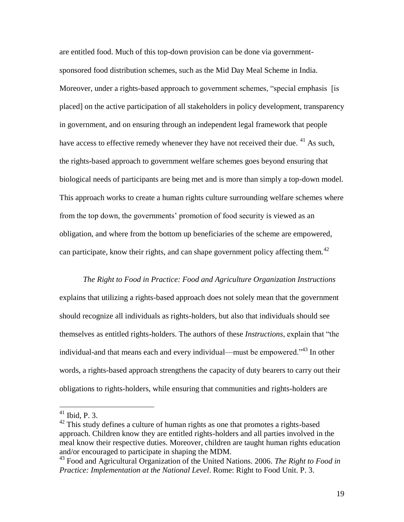are entitled food. Much of this top-down provision can be done via governmentsponsored food distribution schemes, such as the Mid Day Meal Scheme in India. Moreover, under a rights-based approach to government schemes, "special emphasis [is placed] on the active participation of all stakeholders in policy development, transparency in government, and on ensuring through an independent legal framework that people have access to effective remedy whenever they have not received their due.  $41$  As such, the rights-based approach to government welfare schemes goes beyond ensuring that biological needs of participants are being met and is more than simply a top-down model. This approach works to create a human rights culture surrounding welfare schemes where from the top down, the governments' promotion of food security is viewed as an obligation, and where from the bottom up beneficiaries of the scheme are empowered, can participate, know their rights, and can shape government policy affecting them.<sup>42</sup>

*The Right to Food in Practice: Food and Agriculture Organization Instructions*  explains that utilizing a rights-based approach does not solely mean that the government should recognize all individuals as rights-holders, but also that individuals should see themselves as entitled rights-holders. The authors of these *Instructions*, explain that "the individual-and that means each and every individual—must be empowered."<sup>43</sup> In other words, a rights-based approach strengthens the capacity of duty bearers to carry out their obligations to rights-holders, while ensuring that communities and rights-holders are

 $41$  Ibid, P. 3.

 $42$  This study defines a culture of human rights as one that promotes a rights-based approach. Children know they are entitled rights-holders and all parties involved in the meal know their respective duties. Moreover, children are taught human rights education and/or encouraged to participate in shaping the MDM.

<sup>43</sup> Food and Agricultural Organization of the United Nations. 2006. *The Right to Food in Practice: Implementation at the National Level*. Rome: Right to Food Unit. P. 3.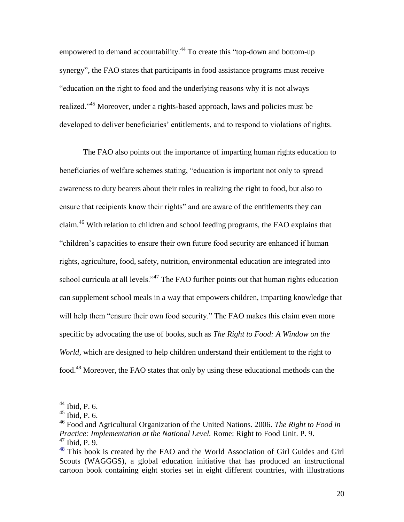empowered to demand accountability.<sup>44</sup> To create this "top-down and bottom-up synergy", the FAO states that participants in food assistance programs must receive "education on the right to food and the underlying reasons why it is not always realized."<sup>45</sup> Moreover, under a rights-based approach, laws and policies must be developed to deliver beneficiaries' entitlements, and to respond to violations of rights.

The FAO also points out the importance of imparting human rights education to beneficiaries of welfare schemes stating, "education is important not only to spread awareness to duty bearers about their roles in realizing the right to food, but also to ensure that recipients know their rights" and are aware of the entitlements they can claim.<sup>46</sup> With relation to children and school feeding programs, the FAO explains that "children's capacities to ensure their own future food security are enhanced if human rights, agriculture, food, safety, nutrition, environmental education are integrated into school curricula at all levels."<sup>47</sup> The FAO further points out that human rights education can supplement school meals in a way that empowers children, imparting knowledge that will help them "ensure their own food security." The FAO makes this claim even more specific by advocating the use of books, such as *The Right to Food: A Window on the World,* which are designed to help children understand their entitlement to the right to food.<sup>48</sup> Moreover, the FAO states that only by using these educational methods can the

 $44$  Ibid, P. 6.

 $45$  Ibid, P. 6.

<sup>46</sup> Food and Agricultural Organization of the United Nations. 2006. *The Right to Food in Practice: Implementation at the National Level. Rome: Right to Food Unit. P. 9.* <sup>47</sup> Ibid, P. 9.

<sup>&</sup>lt;sup>48</sup> This book is created by the FAO and the World Association of Girl Guides and Girl Scouts (WAGGGS), a global education initiative that has produced an instructional cartoon book containing eight stories set in eight different countries, with illustrations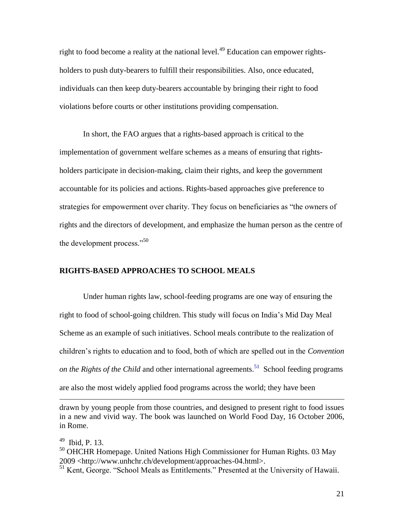right to food become a reality at the national level.<sup>49</sup> Education can empower rightsholders to push duty-bearers to fulfill their responsibilities. Also, once educated, individuals can then keep duty-bearers accountable by bringing their right to food violations before courts or other institutions providing compensation.

In short, the FAO argues that a rights-based approach is critical to the implementation of government welfare schemes as a means of ensuring that rightsholders participate in decision-making, claim their rights, and keep the government accountable for its policies and actions. Rights-based approaches give preference to strategies for empowerment over charity. They focus on beneficiaries as "the owners of rights and the directors of development, and emphasize the human person as the centre of the development process."<sup>50</sup>

#### **RIGHTS-BASED APPROACHES TO SCHOOL MEALS**

Under human rights law, school-feeding programs are one way of ensuring the right to food of school-going children. This study will focus on India's Mid Day Meal Scheme as an example of such initiatives. School meals contribute to the realization of children's rights to education and to food, both of which are spelled out in the *Convention on the Rights of the Child* and other international agreements. <sup>51</sup> School feeding programs are also the most widely applied food programs across the world; they have been

49 Ibid, P. 13.

drawn by young people from those countries, and designed to present right to food issues in a new and vivid way. The book was launched on World Food Day, 16 October 2006, in Rome.

 $50$  OHCHR Homepage. United Nations High Commissioner for Human Rights. 03 May 2009 <http://www.unhchr.ch/development/approaches-04.html>.

<sup>&</sup>lt;sup>51</sup> Kent, George. "School Meals as Entitlements." Presented at the University of Hawaii.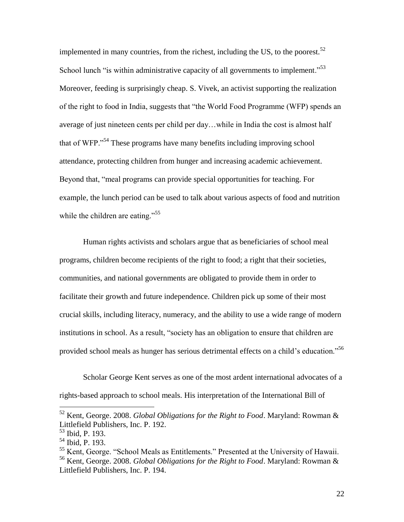implemented in many countries, from the richest, including the US, to the poorest.<sup>52</sup> School lunch "is within administrative capacity of all governments to implement."<sup>53</sup> Moreover, feeding is surprisingly cheap. S. Vivek, an activist supporting the realization of the right to food in India, suggests that "the World Food Programme (WFP) spends an average of just nineteen cents per child per day…while in India the cost is almost half that of WFP."<sup>54</sup> These programs have many benefits including improving school attendance, protecting children from hunger and increasing academic achievement. Beyond that, "meal programs can provide special opportunities for teaching. For example, the lunch period can be used to talk about various aspects of food and nutrition while the children are eating."<sup>55</sup>

Human rights activists and scholars argue that as beneficiaries of school meal programs, children become recipients of the right to food; a right that their societies, communities, and national governments are obligated to provide them in order to facilitate their growth and future independence. Children pick up some of their most crucial skills, including literacy, numeracy, and the ability to use a wide range of modern institutions in school. As a result, "society has an obligation to ensure that children are provided school meals as hunger has serious detrimental effects on a child's education."<sup>56</sup>

Scholar George Kent serves as one of the most ardent international advocates of a rights-based approach to school meals. His interpretation of the International Bill of

<sup>52</sup> Kent, George. 2008. *Global Obligations for the Right to Food*. Maryland: Rowman & Littlefield Publishers, Inc. P. 192.

<sup>53</sup> Ibid, P. 193.

 $54$  Ibid, P. 193.

<sup>&</sup>lt;sup>55</sup> Kent, George. "School Meals as Entitlements." Presented at the University of Hawaii. <sup>56</sup> Kent, George. 2008. *Global Obligations for the Right to Food*. Maryland: Rowman & Littlefield Publishers, Inc. P. 194.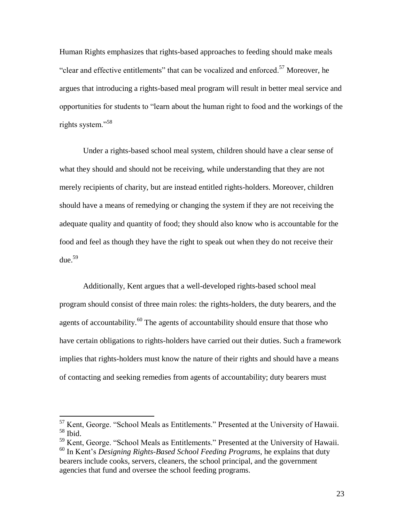Human Rights emphasizes that rights-based approaches to feeding should make meals "clear and effective entitlements" that can be vocalized and enforced.<sup>57</sup> Moreover, he argues that introducing a rights-based meal program will result in better meal service and opportunities for students to "learn about the human right to food and the workings of the rights system."<sup>58</sup>

Under a rights-based school meal system, children should have a clear sense of what they should and should not be receiving, while understanding that they are not merely recipients of charity, but are instead entitled rights-holders. Moreover, children should have a means of remedying or changing the system if they are not receiving the adequate quality and quantity of food; they should also know who is accountable for the food and feel as though they have the right to speak out when they do not receive their due. 59

Additionally, Kent argues that a well-developed rights-based school meal program should consist of three main roles: the rights-holders, the duty bearers, and the agents of accountability. $60$  The agents of accountability should ensure that those who have certain obligations to rights-holders have carried out their duties. Such a framework implies that rights-holders must know the nature of their rights and should have a means of contacting and seeking remedies from agents of accountability; duty bearers must

<sup>&</sup>lt;sup>57</sup> Kent, George. "School Meals as Entitlements." Presented at the University of Hawaii. <sup>58</sup> Ibid.

<sup>59</sup> Kent, George. "School Meals as Entitlements." Presented at the University of Hawaii. <sup>60</sup> In Kent's *Designing Rights-Based School Feeding Programs,* he explains that duty bearers include cooks, servers, cleaners, the school principal, and the government agencies that fund and oversee the school feeding programs.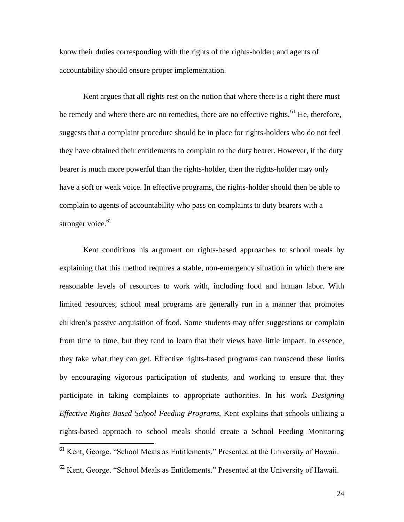know their duties corresponding with the rights of the rights-holder; and agents of accountability should ensure proper implementation.

Kent argues that all rights rest on the notion that where there is a right there must be remedy and where there are no remedies, there are no effective rights.<sup>61</sup> He, therefore, suggests that a complaint procedure should be in place for rights-holders who do not feel they have obtained their entitlements to complain to the duty bearer. However, if the duty bearer is much more powerful than the rights-holder, then the rights-holder may only have a soft or weak voice. In effective programs, the rights-holder should then be able to complain to agents of accountability who pass on complaints to duty bearers with a stronger voice. $62$ 

Kent conditions his argument on rights-based approaches to school meals by explaining that this method requires a stable, non-emergency situation in which there are reasonable levels of resources to work with, including food and human labor. With limited resources, school meal programs are generally run in a manner that promotes children's passive acquisition of food. Some students may offer suggestions or complain from time to time, but they tend to learn that their views have little impact. In essence, they take what they can get. Effective rights-based programs can transcend these limits by encouraging vigorous participation of students, and working to ensure that they participate in taking complaints to appropriate authorities. In his work *Designing Effective Rights Based School Feeding Programs*, Kent explains that schools utilizing a rights-based approach to school meals should create a School Feeding Monitoring

 $61$  Kent, George. "School Meals as Entitlements." Presented at the University of Hawaii.

 $62$  Kent, George. "School Meals as Entitlements." Presented at the University of Hawaii.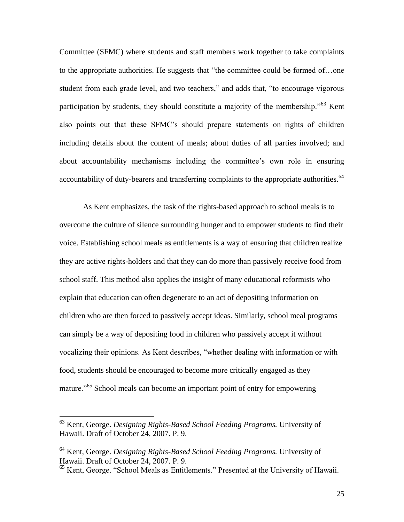Committee (SFMC) where students and staff members work together to take complaints to the appropriate authorities. He suggests that "the committee could be formed of…one student from each grade level, and two teachers," and adds that, "to encourage vigorous participation by students, they should constitute a majority of the membership.<sup>763</sup> Kent also points out that these SFMC's should prepare statements on rights of children including details about the content of meals; about duties of all parties involved; and about accountability mechanisms including the committee's own role in ensuring accountability of duty-bearers and transferring complaints to the appropriate authorities.<sup>64</sup>

As Kent emphasizes, the task of the rights-based approach to school meals is to overcome the culture of silence surrounding hunger and to empower students to find their voice. Establishing school meals as entitlements is a way of ensuring that children realize they are active rights-holders and that they can do more than passively receive food from school staff. This method also applies the insight of many educational reformists who explain that education can often degenerate to an act of depositing information on children who are then forced to passively accept ideas. Similarly, school meal programs can simply be a way of depositing food in children who passively accept it without vocalizing their opinions. As Kent describes, "whether dealing with information or with food, students should be encouraged to become more critically engaged as they mature."<sup>65</sup> School meals can become an important point of entry for empowering

<sup>63</sup> Kent, George. *Designing Rights-Based School Feeding Programs.* University of Hawaii. Draft of October 24, 2007. P. 9.

<sup>64</sup> Kent, George. *Designing Rights-Based School Feeding Programs.* University of Hawaii. Draft of October 24, 2007. P. 9.

<sup>65</sup> Kent, George. "School Meals as Entitlements." Presented at the University of Hawaii.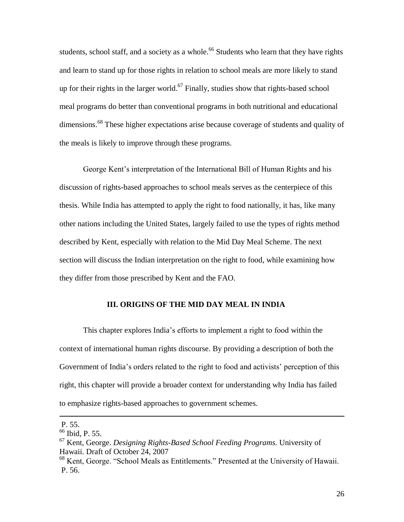students, school staff, and a society as a whole.<sup>66</sup> Students who learn that they have rights and learn to stand up for those rights in relation to school meals are more likely to stand up for their rights in the larger world.<sup>67</sup> Finally, studies show that rights-based school meal programs do better than conventional programs in both nutritional and educational dimensions.<sup>68</sup> These higher expectations arise because coverage of students and quality of the meals is likely to improve through these programs.

George Kent's interpretation of the International Bill of Human Rights and his discussion of rights-based approaches to school meals serves as the centerpiece of this thesis. While India has attempted to apply the right to food nationally, it has, like many other nations including the United States, largely failed to use the types of rights method described by Kent, especially with relation to the Mid Day Meal Scheme. The next section will discuss the Indian interpretation on the right to food, while examining how they differ from those prescribed by Kent and the FAO.

#### **III. ORIGINS OF THE MID DAY MEAL IN INDIA**

This chapter explores India's efforts to implement a right to food within the context of international human rights discourse. By providing a description of both the Government of India's orders related to the right to food and activists' perception of this right, this chapter will provide a broader context for understanding why India has failed to emphasize rights-based approaches to government schemes.

P. 55.

<sup>&</sup>lt;sup>66</sup> Ibid, P. 55.

<sup>67</sup> Kent, George. *Designing Rights-Based School Feeding Programs.* University of Hawaii. Draft of October 24, 2007

<sup>68</sup> Kent, George. "School Meals as Entitlements." Presented at the University of Hawaii. P. 56.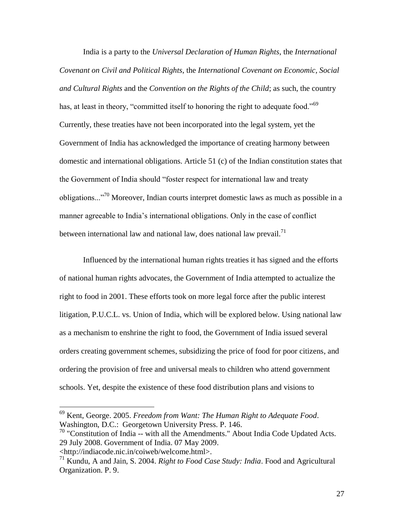India is a party to the *Universal Declaration of Human Rights*, the *International Covenant on Civil and Political Rights*, the *International Covenant on Economic, Social and Cultural Rights* and the *Convention on the Rights of the Child*; as such, the country has, at least in theory, "committed itself to honoring the right to adequate food."<sup>69</sup> Currently, these treaties have not been incorporated into the legal system, yet the Government of India has acknowledged the importance of creating harmony between domestic and international obligations. Article 51 (c) of the Indian constitution states that the Government of India should "foster respect for international law and treaty obligations..."<sup>70</sup> Moreover, Indian courts interpret domestic laws as much as possible in a manner agreeable to India's international obligations. Only in the case of conflict between international law and national law, does national law prevail.<sup>71</sup>

Influenced by the international human rights treaties it has signed and the efforts of national human rights advocates, the Government of India attempted to actualize the right to food in 2001. These efforts took on more legal force after the public interest litigation, P.U.C.L. vs. Union of India, which will be explored below. Using national law as a mechanism to enshrine the right to food, the Government of India issued several orders creating government schemes, subsidizing the price of food for poor citizens, and ordering the provision of free and universal meals to children who attend government schools. Yet, despite the existence of these food distribution plans and visions to

<sup>69</sup> Kent, George. 2005. *Freedom from Want: The Human Right to Adequate Food*. Washington, D.C.: Georgetown University Press. P. 146.

<sup>&</sup>lt;sup>70</sup> "Constitution of India -- with all the Amendments." About India Code Updated Acts. 29 July 2008. Government of India. 07 May 2009.

<sup>&</sup>lt;http://indiacode.nic.in/coiweb/welcome.html>.

<sup>71</sup> Kundu, A and Jain, S. 2004. *Right to Food Case Study: India*. Food and Agricultural Organization. P. 9.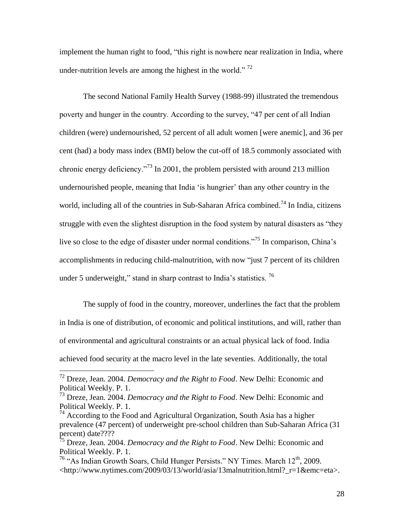implement the human right to food, "this right is nowhere near realization in India, where under-nutrition levels are among the highest in the world."  $^{72}$ 

The second National Family Health Survey (1988-99) illustrated the tremendous poverty and hunger in the country. According to the survey, "47 per cent of all Indian children (were) undernourished, 52 percent of all adult women [were anemic], and 36 per cent (had) a body mass index (BMI) below the cut-off of 18.5 commonly associated with chronic energy deficiency.<sup>73</sup> In 2001, the problem persisted with around 213 million undernourished people, meaning that India 'is hungrier' than any other country in the world, including all of the countries in Sub-Saharan Africa combined.<sup>74</sup> In India, citizens struggle with even the slightest disruption in the food system by natural disasters as "they live so close to the edge of disaster under normal conditions.<sup>775</sup> In comparison, China's accomplishments in reducing child-malnutrition, with now "just 7 percent of its children under 5 underweight," stand in sharp contrast to India's statistics.  $^{76}$ 

The supply of food in the country, moreover, underlines the fact that the problem in India is one of distribution, of economic and political institutions, and will, rather than of environmental and agricultural constraints or an actual physical lack of food. India achieved food security at the macro level in the late seventies. Additionally, the total

<sup>72</sup> Dreze, Jean. 2004. *Democracy and the Right to Food*. New Delhi: Economic and Political Weekly. P. 1.

<sup>73</sup> Dreze, Jean. 2004. *Democracy and the Right to Food*. New Delhi: Economic and Political Weekly. P. 1.

 $74$  According to the Food and Agricultural Organization, South Asia has a higher prevalence (47 percent) of underweight pre-school children than Sub-Saharan Africa (31 percent) date????

<sup>75</sup> Dreze, Jean. 2004. *Democracy and the Right to Food*. New Delhi: Economic and Political Weekly. P. 1.

<sup>&</sup>lt;sup>76</sup> "As Indian Growth Soars, Child Hunger Persists." NY Times. March  $12<sup>th</sup>$ , 2009. <http://www.nytimes.com/2009/03/13/world/asia/13malnutrition.html?\_r=1&emc=eta>.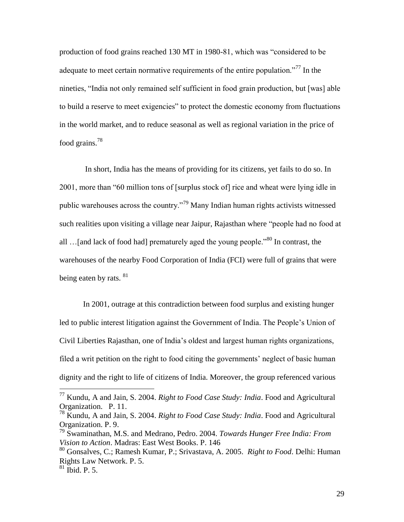production of food grains reached 130 MT in 1980-81, which was "considered to be adequate to meet certain normative requirements of the entire population.<sup>"77</sup> In the nineties, "India not only remained self sufficient in food grain production, but [was] able to build a reserve to meet exigencies" to protect the domestic economy from fluctuations in the world market, and to reduce seasonal as well as regional variation in the price of food grains.<sup>78</sup>

In short, India has the means of providing for its citizens, yet fails to do so. In 2001, more than "60 million tons of [surplus stock of] rice and wheat were lying idle in public warehouses across the country."<sup>79</sup> Many Indian human rights activists witnessed such realities upon visiting a village near Jaipur, Rajasthan where "people had no food at all ... [and lack of food had] prematurely aged the young people."<sup>80</sup> In contrast, the warehouses of the nearby Food Corporation of India (FCI) were full of grains that were being eaten by rats.  $81$ 

In 2001, outrage at this contradiction between food surplus and existing hunger led to public interest litigation against the Government of India. The People's Union of Civil Liberties Rajasthan, one of India's oldest and largest human rights organizations, filed a writ petition on the right to food citing the governments' neglect of basic human dignity and the right to life of citizens of India. Moreover, the group referenced various

<sup>77</sup> Kundu, A and Jain, S. 2004. *Right to Food Case Study: India*. Food and Agricultural Organization. P. 11.

<sup>78</sup> Kundu, A and Jain, S. 2004. *Right to Food Case Study: India*. Food and Agricultural Organization. P. 9.

<sup>79</sup> Swaminathan, M.S. and Medrano, Pedro. 2004. *Towards Hunger Free India: From Vision to Action*. Madras: East West Books. P. 146

<sup>80</sup> Gonsalves, C.; Ramesh Kumar, P.; Srivastava, A. 2005. *Right to Food*. Delhi: Human Rights Law Network. P. 5.

 $81$  Ibid. P. 5.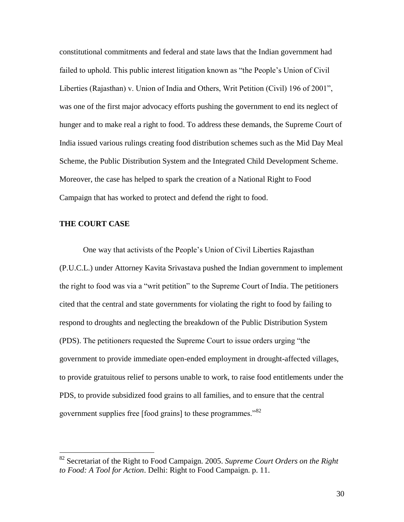constitutional commitments and federal and state laws that the Indian government had failed to uphold. This public interest litigation known as "the People's Union of Civil Liberties (Rajasthan) v. Union of India and Others, Writ Petition (Civil) 196 of 2001", was one of the first major advocacy efforts pushing the government to end its neglect of hunger and to make real a right to food. To address these demands, the Supreme Court of India issued various rulings creating food distribution schemes such as the Mid Day Meal Scheme, the Public Distribution System and the Integrated Child Development Scheme. Moreover, the case has helped to spark the creation of a National Right to Food Campaign that has worked to protect and defend the right to food.

#### **THE COURT CASE**

 $\overline{a}$ 

One way that activists of the People's Union of Civil Liberties Rajasthan (P.U.C.L.) under Attorney Kavita Srivastava pushed the Indian government to implement the right to food was via a "writ petition" to the Supreme Court of India. The petitioners cited that the central and state governments for violating the right to food by failing to respond to droughts and neglecting the breakdown of the Public Distribution System (PDS). The petitioners requested the Supreme Court to issue orders urging "the government to provide immediate open-ended employment in drought-affected villages, to provide gratuitous relief to persons unable to work, to raise food entitlements under the PDS, to provide subsidized food grains to all families, and to ensure that the central government supplies free [food grains] to these programmes."<sup>82</sup>

<sup>82</sup> Secretariat of the Right to Food Campaign. 2005. *Supreme Court Orders on the Right to Food: A Tool for Action*. Delhi: Right to Food Campaign. p. 11.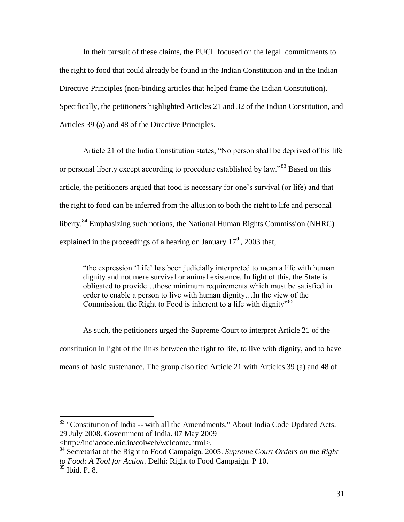In their pursuit of these claims, the PUCL focused on the legal commitments to the right to food that could already be found in the Indian Constitution and in the Indian Directive Principles (non-binding articles that helped frame the Indian Constitution). Specifically, the petitioners highlighted Articles 21 and 32 of the Indian Constitution, and Articles 39 (a) and 48 of the Directive Principles.

Article 21 of the India Constitution states, "No person shall be deprived of his life or personal liberty except according to procedure established by law."<sup>83</sup> Based on this article, the petitioners argued that food is necessary for one's survival (or life) and that the right to food can be inferred from the allusion to both the right to life and personal liberty.<sup>84</sup> Emphasizing such notions, the National Human Rights Commission (NHRC) explained in the proceedings of a hearing on January  $17<sup>th</sup>$ , 2003 that,

"the expression 'Life' has been judicially interpreted to mean a life with human dignity and not mere survival or animal existence. In light of this, the State is obligated to provide…those minimum requirements which must be satisfied in order to enable a person to live with human dignity…In the view of the Commission, the Right to Food is inherent to a life with dignity<sup> $35$ </sup>

As such, the petitioners urged the Supreme Court to interpret Article 21 of the constitution in light of the links between the right to life, to live with dignity, and to have means of basic sustenance. The group also tied Article 21 with Articles 39 (a) and 48 of

<sup>&</sup>lt;sup>83</sup> "Constitution of India -- with all the Amendments." About India Code Updated Acts. 29 July 2008. Government of India. 07 May 2009

<sup>&</sup>lt;http://indiacode.nic.in/coiweb/welcome.html>.

<sup>84</sup> Secretariat of the Right to Food Campaign. 2005. *Supreme Court Orders on the Right to Food: A Tool for Action*. Delhi: Right to Food Campaign. P 10.

<sup>85</sup> Ibid. P. 8.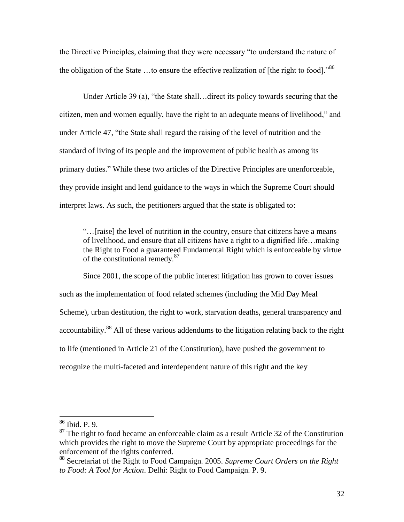the Directive Principles, claiming that they were necessary "to understand the nature of the obligation of the State ...to ensure the effective realization of [the right to food].<sup>86</sup>

Under Article 39 (a), "the State shall…direct its policy towards securing that the citizen, men and women equally, have the right to an adequate means of livelihood," and under Article 47, "the State shall regard the raising of the level of nutrition and the standard of living of its people and the improvement of public health as among its primary duties." While these two articles of the Directive Principles are unenforceable, they provide insight and lend guidance to the ways in which the Supreme Court should interpret laws. As such, the petitioners argued that the state is obligated to:

"…[raise] the level of nutrition in the country, ensure that citizens have a means of livelihood, and ensure that all citizens have a right to a dignified life…making the Right to Food a guaranteed Fundamental Right which is enforceable by virtue of the constitutional remedy.<sup>87</sup>

Since 2001, the scope of the public interest litigation has grown to cover issues such as the implementation of food related schemes (including the Mid Day Meal Scheme), urban destitution, the right to work, starvation deaths, general transparency and accountability.<sup>88</sup> All of these various addendums to the litigation relating back to the right to life (mentioned in Article 21 of the Constitution), have pushed the government to recognize the multi-faceted and interdependent nature of this right and the key

<sup>86</sup> Ibid. P. 9.

 $87$  The right to food became an enforceable claim as a result Article 32 of the Constitution which provides the right to move the Supreme Court by appropriate proceedings for the enforcement of the rights conferred.

<sup>88</sup> Secretariat of the Right to Food Campaign. 2005. *Supreme Court Orders on the Right to Food: A Tool for Action*. Delhi: Right to Food Campaign. P. 9.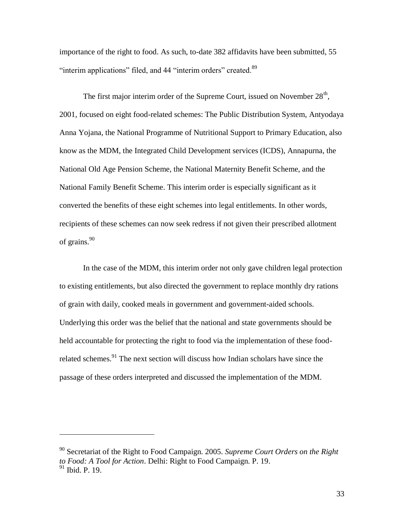importance of the right to food. As such, to-date 382 affidavits have been submitted, 55 "interim applications" filed, and 44 "interim orders" created.<sup>89</sup>

The first major interim order of the Supreme Court, issued on November  $28<sup>th</sup>$ , 2001, focused on eight food-related schemes: The Public Distribution System, Antyodaya Anna Yojana, the National Programme of Nutritional Support to Primary Education, also know as the MDM, the Integrated Child Development services (ICDS), Annapurna, the National Old Age Pension Scheme, the National Maternity Benefit Scheme, and the National Family Benefit Scheme. This interim order is especially significant as it converted the benefits of these eight schemes into legal entitlements. In other words, recipients of these schemes can now seek redress if not given their prescribed allotment of grains.<sup>90</sup>

In the case of the MDM, this interim order not only gave children legal protection to existing entitlements, but also directed the government to replace monthly dry rations of grain with daily, cooked meals in government and government-aided schools. Underlying this order was the belief that the national and state governments should be held accountable for protecting the right to food via the implementation of these foodrelated schemes.<sup>91</sup> The next section will discuss how Indian scholars have since the passage of these orders interpreted and discussed the implementation of the MDM.

<sup>90</sup> Secretariat of the Right to Food Campaign. 2005. *Supreme Court Orders on the Right to Food: A Tool for Action*. Delhi: Right to Food Campaign. P. 19. <sup>91</sup> Ibid. P. 19.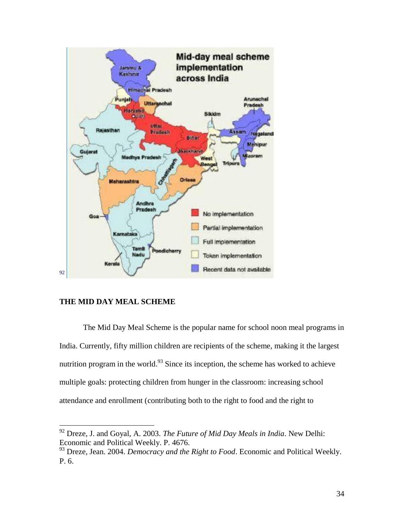

# **THE MID DAY MEAL SCHEME**

 $\overline{a}$ 

The Mid Day Meal Scheme is the popular name for school noon meal programs in India. Currently, fifty million children are recipients of the scheme, making it the largest nutrition program in the world.<sup>93</sup> Since its inception, the scheme has worked to achieve multiple goals: protecting children from hunger in the classroom: increasing school attendance and enrollment (contributing both to the right to food and the right to

<sup>92</sup> Dreze, J. and Goyal, A. 2003. *The Future of Mid Day Meals in India*. New Delhi: Economic and Political Weekly. P. 4676.

<sup>93</sup> Dreze, Jean. 2004. *Democracy and the Right to Food*. Economic and Political Weekly. P. 6.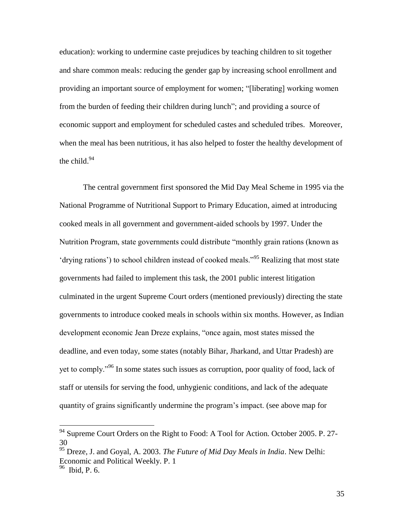education): working to undermine caste prejudices by teaching children to sit together and share common meals: reducing the gender gap by increasing school enrollment and providing an important source of employment for women; "[liberating] working women from the burden of feeding their children during lunch"; and providing a source of economic support and employment for scheduled castes and scheduled tribes.Moreover, when the meal has been nutritious, it has also helped to foster the healthy development of the child. $94$ 

The central government first sponsored the Mid Day Meal Scheme in 1995 via the National Programme of Nutritional Support to Primary Education, aimed at introducing cooked meals in all government and government-aided schools by 1997. Under the Nutrition Program, state governments could distribute "monthly grain rations (known as 'drying rations') to school children instead of cooked meals."<sup>95</sup> Realizing that most state governments had failed to implement this task, the 2001 public interest litigation culminated in the urgent Supreme Court orders (mentioned previously) directing the state governments to introduce cooked meals in schools within six months. However, as Indian development economic Jean Dreze explains, "once again, most states missed the deadline, and even today, some states (notably Bihar, Jharkand, and Uttar Pradesh) are yet to comply."<sup>96</sup> In some states such issues as corruption, poor quality of food, lack of staff or utensils for serving the food, unhygienic conditions, and lack of the adequate quantity of grains significantly undermine the program's impact. (see above map for

 $94$  Supreme Court Orders on the Right to Food: A Tool for Action. October 2005. P. 27-30

<sup>&</sup>lt;sup>95</sup> Dreze, J. and Goyal, A. 2003. *The Future of Mid Day Meals in India*. New Delhi: Economic and Political Weekly. P. 1

<sup>&</sup>lt;sup>96</sup> Ibid, P. 6.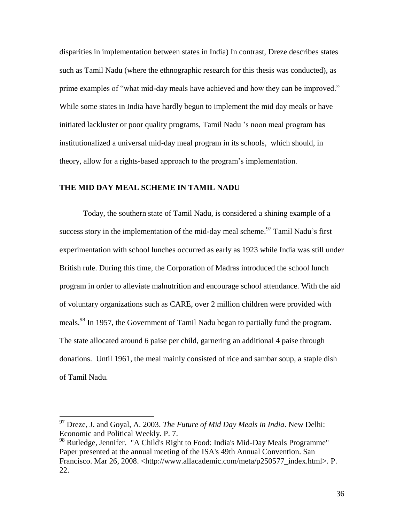disparities in implementation between states in India) In contrast, Dreze describes states such as Tamil Nadu (where the ethnographic research for this thesis was conducted), as prime examples of "what mid-day meals have achieved and how they can be improved." While some states in India have hardly begun to implement the mid day meals or have initiated lackluster or poor quality programs, Tamil Nadu 's noon meal program has institutionalized a universal mid-day meal program in its schools, which should, in theory, allow for a rights-based approach to the program's implementation.

## **THE MID DAY MEAL SCHEME IN TAMIL NADU**

Today, the southern state of Tamil Nadu, is considered a shining example of a success story in the implementation of the mid-day meal scheme.<sup>97</sup> Tamil Nadu's first experimentation with school lunches occurred as early as 1923 while India was still under British rule. During this time, the Corporation of Madras introduced the school lunch program in order to alleviate malnutrition and encourage school attendance. With the aid of voluntary organizations such as CARE, over 2 million children were provided with meals.<sup>98</sup> In 1957, the Government of Tamil Nadu began to partially fund the program. The state allocated around 6 paise per child, garnering an additional 4 paise through donations. Until 1961, the meal mainly consisted of rice and sambar soup, a staple dish of Tamil Nadu.

<sup>97</sup> Dreze, J. and Goyal, A. 2003. *The Future of Mid Day Meals in India*. New Delhi: Economic and Political Weekly. P. 7.

<sup>98</sup> Rutledge, Jennifer. "A Child's Right to Food: India's Mid-Day Meals Programme" Paper presented at the annual meeting of the ISA's 49th Annual Convention. San Francisco. Mar 26, 2008. <http://www.allacademic.com/meta/p250577\_index.html>. P. 22.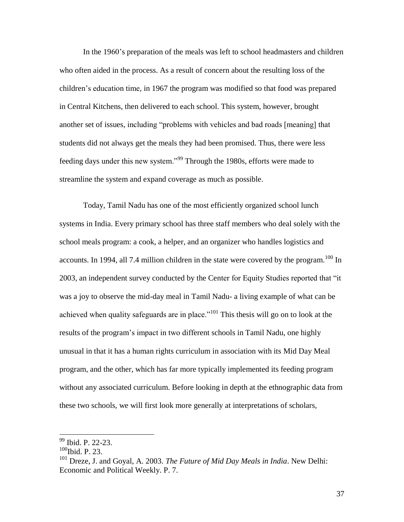In the 1960's preparation of the meals was left to school headmasters and children who often aided in the process. As a result of concern about the resulting loss of the children's education time, in 1967 the program was modified so that food was prepared in Central Kitchens, then delivered to each school. This system, however, brought another set of issues, including "problems with vehicles and bad roads [meaning] that students did not always get the meals they had been promised. Thus, there were less feeding days under this new system."<sup>99</sup> Through the 1980s, efforts were made to streamline the system and expand coverage as much as possible.

Today, Tamil Nadu has one of the most efficiently organized school lunch systems in India. Every primary school has three staff members who deal solely with the school meals program: a cook, a helper, and an organizer who handles logistics and accounts. In 1994, all 7.4 million children in the state were covered by the program.<sup>100</sup> In 2003, an independent survey conducted by the Center for Equity Studies reported that "it was a joy to observe the mid-day meal in Tamil Nadu- a living example of what can be achieved when quality safeguards are in place."<sup>101</sup> This thesis will go on to look at the results of the program's impact in two different schools in Tamil Nadu, one highly unusual in that it has a human rights curriculum in association with its Mid Day Meal program, and the other, which has far more typically implemented its feeding program without any associated curriculum. Before looking in depth at the ethnographic data from these two schools, we will first look more generally at interpretations of scholars,

<sup>&</sup>lt;sup>99</sup> Ibid. P. 22-23.

 $100$ Ibid. P. 23.

<sup>101</sup> Dreze, J. and Goyal, A. 2003. *The Future of Mid Day Meals in India*. New Delhi: Economic and Political Weekly. P. 7.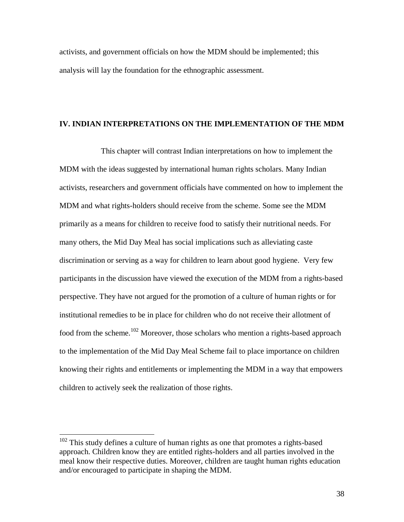activists, and government officials on how the MDM should be implemented; this analysis will lay the foundation for the ethnographic assessment.

#### **IV. INDIAN INTERPRETATIONS ON THE IMPLEMENTATION OF THE MDM**

This chapter will contrast Indian interpretations on how to implement the MDM with the ideas suggested by international human rights scholars. Many Indian activists, researchers and government officials have commented on how to implement the MDM and what rights-holders should receive from the scheme. Some see the MDM primarily as a means for children to receive food to satisfy their nutritional needs. For many others, the Mid Day Meal has social implications such as alleviating caste discrimination or serving as a way for children to learn about good hygiene. Very few participants in the discussion have viewed the execution of the MDM from a rights-based perspective. They have not argued for the promotion of a culture of human rights or for institutional remedies to be in place for children who do not receive their allotment of food from the scheme.<sup>102</sup> Moreover, those scholars who mention a rights-based approach to the implementation of the Mid Day Meal Scheme fail to place importance on children knowing their rights and entitlements or implementing the MDM in a way that empowers children to actively seek the realization of those rights.

 $102$  This study defines a culture of human rights as one that promotes a rights-based approach. Children know they are entitled rights-holders and all parties involved in the meal know their respective duties. Moreover, children are taught human rights education and/or encouraged to participate in shaping the MDM.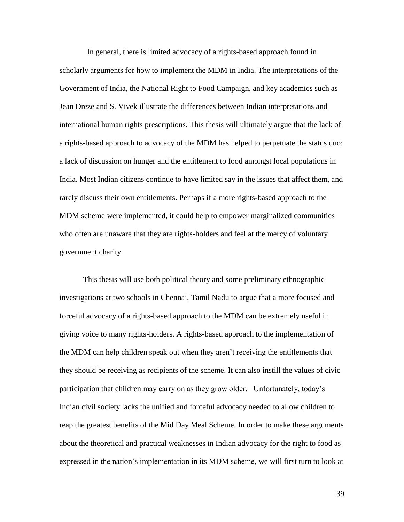In general, there is limited advocacy of a rights-based approach found in scholarly arguments for how to implement the MDM in India. The interpretations of the Government of India, the National Right to Food Campaign, and key academics such as Jean Dreze and S. Vivek illustrate the differences between Indian interpretations and international human rights prescriptions. This thesis will ultimately argue that the lack of a rights-based approach to advocacy of the MDM has helped to perpetuate the status quo: a lack of discussion on hunger and the entitlement to food amongst local populations in India. Most Indian citizens continue to have limited say in the issues that affect them, and rarely discuss their own entitlements. Perhaps if a more rights-based approach to the MDM scheme were implemented, it could help to empower marginalized communities who often are unaware that they are rights-holders and feel at the mercy of voluntary government charity.

This thesis will use both political theory and some preliminary ethnographic investigations at two schools in Chennai, Tamil Nadu to argue that a more focused and forceful advocacy of a rights-based approach to the MDM can be extremely useful in giving voice to many rights-holders. A rights-based approach to the implementation of the MDM can help children speak out when they aren't receiving the entitlements that they should be receiving as recipients of the scheme. It can also instill the values of civic participation that children may carry on as they grow older. Unfortunately, today's Indian civil society lacks the unified and forceful advocacy needed to allow children to reap the greatest benefits of the Mid Day Meal Scheme. In order to make these arguments about the theoretical and practical weaknesses in Indian advocacy for the right to food as expressed in the nation's implementation in its MDM scheme, we will first turn to look at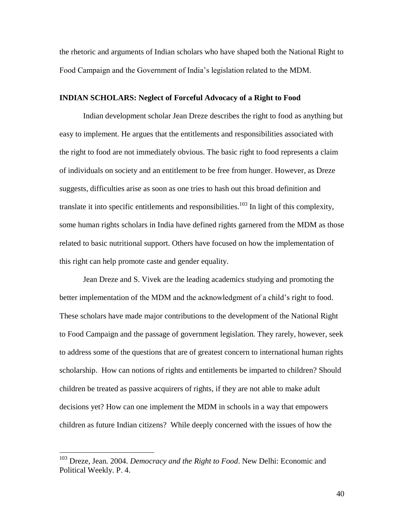the rhetoric and arguments of Indian scholars who have shaped both the National Right to Food Campaign and the Government of India's legislation related to the MDM.

# **INDIAN SCHOLARS: Neglect of Forceful Advocacy of a Right to Food**

Indian development scholar Jean Dreze describes the right to food as anything but easy to implement. He argues that the entitlements and responsibilities associated with the right to food are not immediately obvious. The basic right to food represents a claim of individuals on society and an entitlement to be free from hunger. However, as Dreze suggests, difficulties arise as soon as one tries to hash out this broad definition and translate it into specific entitlements and responsibilities.<sup>103</sup> In light of this complexity, some human rights scholars in India have defined rights garnered from the MDM as those related to basic nutritional support. Others have focused on how the implementation of this right can help promote caste and gender equality.

Jean Dreze and S. Vivek are the leading academics studying and promoting the better implementation of the MDM and the acknowledgment of a child's right to food. These scholars have made major contributions to the development of the National Right to Food Campaign and the passage of government legislation. They rarely, however, seek to address some of the questions that are of greatest concern to international human rights scholarship. How can notions of rights and entitlements be imparted to children? Should children be treated as passive acquirers of rights, if they are not able to make adult decisions yet? How can one implement the MDM in schools in a way that empowers children as future Indian citizens? While deeply concerned with the issues of how the

<sup>103</sup> Dreze, Jean. 2004. *Democracy and the Right to Food*. New Delhi: Economic and Political Weekly. P. 4.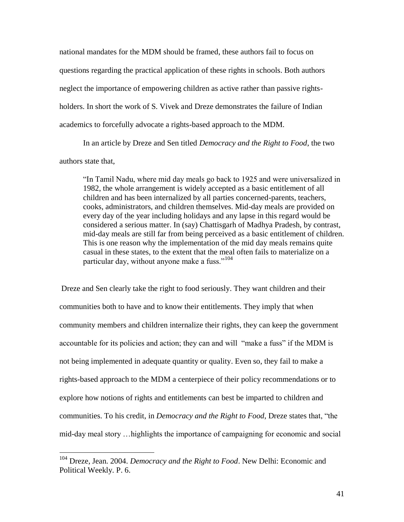national mandates for the MDM should be framed, these authors fail to focus on questions regarding the practical application of these rights in schools. Both authors neglect the importance of empowering children as active rather than passive rightsholders. In short the work of S. Vivek and Dreze demonstrates the failure of Indian academics to forcefully advocate a rights-based approach to the MDM.

In an article by Dreze and Sen titled *Democracy and the Right to Food*, the two authors state that,

"In Tamil Nadu, where mid day meals go back to 1925 and were universalized in 1982, the whole arrangement is widely accepted as a basic entitlement of all children and has been internalized by all parties concerned-parents, teachers, cooks, administrators, and children themselves. Mid-day meals are provided on every day of the year including holidays and any lapse in this regard would be considered a serious matter. In (say) Chattisgarh of Madhya Pradesh, by contrast, mid-day meals are still far from being perceived as a basic entitlement of children. This is one reason why the implementation of the mid day meals remains quite casual in these states, to the extent that the meal often fails to materialize on a particular day, without anyone make a fuss."<sup>104</sup>

Dreze and Sen clearly take the right to food seriously. They want children and their communities both to have and to know their entitlements. They imply that when community members and children internalize their rights, they can keep the government accountable for its policies and action; they can and will "make a fuss" if the MDM is not being implemented in adequate quantity or quality. Even so, they fail to make a rights-based approach to the MDM a centerpiece of their policy recommendations or to explore how notions of rights and entitlements can best be imparted to children and communities. To his credit, in *Democracy and the Right to Food*, Dreze states that, "the mid-day meal story …highlights the importance of campaigning for economic and social

<sup>104</sup> Dreze, Jean. 2004. *Democracy and the Right to Food*. New Delhi: Economic and Political Weekly. P. 6.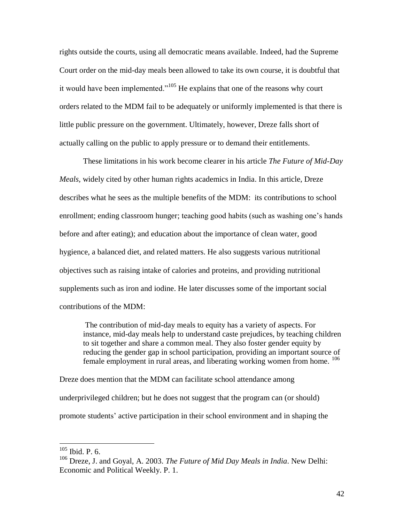rights outside the courts, using all democratic means available. Indeed, had the Supreme Court order on the mid-day meals been allowed to take its own course, it is doubtful that it would have been implemented."<sup>105</sup> He explains that one of the reasons why court orders related to the MDM fail to be adequately or uniformly implemented is that there is little public pressure on the government. Ultimately, however, Dreze falls short of actually calling on the public to apply pressure or to demand their entitlements.

These limitations in his work become clearer in his article *The Future of Mid-Day Meals,* widely cited by other human rights academics in India. In this article, Dreze describes what he sees as the multiple benefits of the MDM: its contributions to school enrollment; ending classroom hunger; teaching good habits (such as washing one's hands before and after eating); and education about the importance of clean water, good hygience, a balanced diet, and related matters. He also suggests various nutritional objectives such as raising intake of calories and proteins, and providing nutritional supplements such as iron and iodine. He later discusses some of the important social contributions of the MDM:

The contribution of mid-day meals to equity has a variety of aspects. For instance, mid-day meals help to understand caste prejudices, by teaching children to sit together and share a common meal. They also foster gender equity by reducing the gender gap in school participation, providing an important source of female employment in rural areas, and liberating working women from home. <sup>106</sup>

Dreze does mention that the MDM can facilitate school attendance among underprivileged children; but he does not suggest that the program can (or should) promote students' active participation in their school environment and in shaping the

 $105$  Ibid. P. 6.

<sup>106</sup> Dreze, J. and Goyal, A. 2003. *The Future of Mid Day Meals in India*. New Delhi: Economic and Political Weekly. P. 1.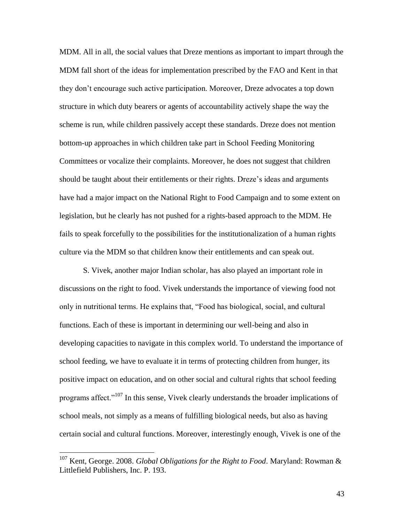MDM. All in all, the social values that Dreze mentions as important to impart through the MDM fall short of the ideas for implementation prescribed by the FAO and Kent in that they don't encourage such active participation. Moreover, Dreze advocates a top down structure in which duty bearers or agents of accountability actively shape the way the scheme is run, while children passively accept these standards. Dreze does not mention bottom-up approaches in which children take part in School Feeding Monitoring Committees or vocalize their complaints. Moreover, he does not suggest that children should be taught about their entitlements or their rights. Dreze's ideas and arguments have had a major impact on the National Right to Food Campaign and to some extent on legislation, but he clearly has not pushed for a rights-based approach to the MDM. He fails to speak forcefully to the possibilities for the institutionalization of a human rights culture via the MDM so that children know their entitlements and can speak out.

S. Vivek, another major Indian scholar, has also played an important role in discussions on the right to food. Vivek understands the importance of viewing food not only in nutritional terms. He explains that, "Food has biological, social, and cultural functions. Each of these is important in determining our well-being and also in developing capacities to navigate in this complex world. To understand the importance of school feeding, we have to evaluate it in terms of protecting children from hunger, its positive impact on education, and on other social and cultural rights that school feeding programs affect."<sup>107</sup> In this sense, Vivek clearly understands the broader implications of school meals, not simply as a means of fulfilling biological needs, but also as having certain social and cultural functions. Moreover, interestingly enough, Vivek is one of the

 $\overline{a}$ 

<sup>107</sup> Kent, George. 2008. *Global Obligations for the Right to Food*. Maryland: Rowman & Littlefield Publishers, Inc. P. 193.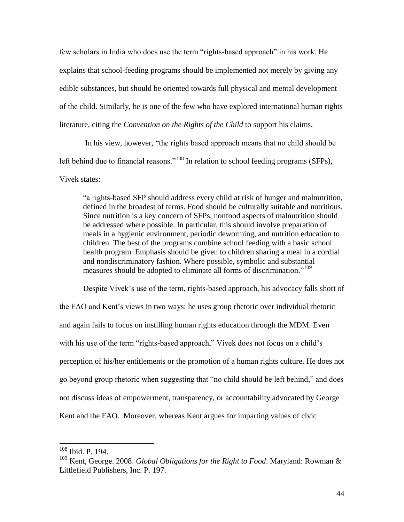few scholars in India who does use the term "rights-based approach" in his work. He explains that school-feeding programs should be implemented not merely by giving any edible substances, but should be oriented towards full physical and mental development of the child. Similarly, he is one of the few who have explored international human rights literature, citing the *Convention on the Rights of the Child* to support his claims.

In his view, however, "the rights based approach means that no child should be left behind due to financial reasons."<sup>108</sup> In relation to school feeding programs (SFPs), Vivek states:

"a rights-based SFP should address every child at risk of hunger and malnutrition, defined in the broadest of terms. Food should be culturally suitable and nutritious. Since nutrition is a key concern of SFPs, nonfood aspects of malnutrition should be addressed where possible. In particular, this should involve preparation of meals in a hygienic environment, periodic deworming, and nutrition education to children. The best of the programs combine school feeding with a basic school health program. Emphasis should be given to children sharing a meal in a cordial and nondiscriminatory fashion. Where possible, symbolic and substantial measures should be adopted to eliminate all forms of discrimination."<sup>109</sup>

Despite Vivek's use of the term, rights-based approach, his advocacy falls short of the FAO and Kent's views in two ways: he uses group rhetoric over individual rhetoric and again fails to focus on instilling human rights education through the MDM. Even with his use of the term "rights-based approach," Vivek does not focus on a child's perception of his/her entitlements or the promotion of a human rights culture. He does not go beyond group rhetoric when suggesting that "no child should be left behind," and does not discuss ideas of empowerment, transparency, or accountability advocated by George Kent and the FAO. Moreover, whereas Kent argues for imparting values of civic

<sup>108</sup> Ibid. P. 194.

<sup>109</sup> Kent, George. 2008. *Global Obligations for the Right to Food*. Maryland: Rowman & Littlefield Publishers, Inc. P. 197.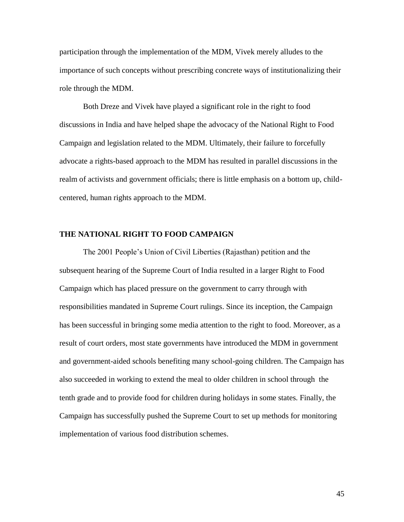participation through the implementation of the MDM, Vivek merely alludes to the importance of such concepts without prescribing concrete ways of institutionalizing their role through the MDM.

Both Dreze and Vivek have played a significant role in the right to food discussions in India and have helped shape the advocacy of the National Right to Food Campaign and legislation related to the MDM. Ultimately, their failure to forcefully advocate a rights-based approach to the MDM has resulted in parallel discussions in the realm of activists and government officials; there is little emphasis on a bottom up, childcentered, human rights approach to the MDM.

## **THE NATIONAL RIGHT TO FOOD CAMPAIGN**

The 2001 People's Union of Civil Liberties (Rajasthan) petition and the subsequent hearing of the Supreme Court of India resulted in a larger Right to Food Campaign which has placed pressure on the government to carry through with responsibilities mandated in Supreme Court rulings. Since its inception, the Campaign has been successful in bringing some media attention to the right to food. Moreover, as a result of court orders, most state governments have introduced the MDM in government and government-aided schools benefiting many school-going children. The Campaign has also succeeded in working to extend the meal to older children in school through the tenth grade and to provide food for children during holidays in some states. Finally, the Campaign has successfully pushed the Supreme Court to set up methods for monitoring implementation of various food distribution schemes.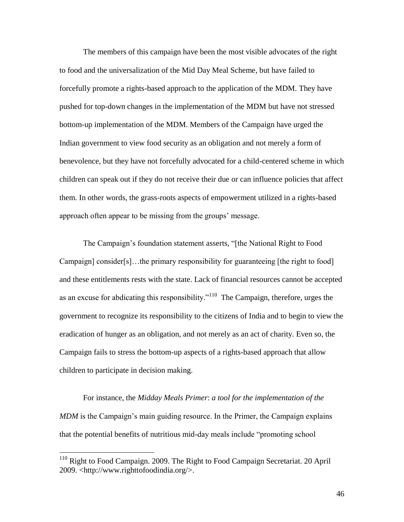The members of this campaign have been the most visible advocates of the right to food and the universalization of the Mid Day Meal Scheme, but have failed to forcefully promote a rights-based approach to the application of the MDM. They have pushed for top-down changes in the implementation of the MDM but have not stressed bottom-up implementation of the MDM. Members of the Campaign have urged the Indian government to view food security as an obligation and not merely a form of benevolence, but they have not forcefully advocated for a child-centered scheme in which children can speak out if they do not receive their due or can influence policies that affect them. In other words, the grass-roots aspects of empowerment utilized in a rights-based approach often appear to be missing from the groups' message.

The Campaign's foundation statement asserts, "[the National Right to Food Campaign] consider[s]…the primary responsibility for guaranteeing [the right to food] and these entitlements rests with the state. Lack of financial resources cannot be accepted as an excuse for abdicating this responsibility."<sup>110</sup> The Campaign, therefore, urges the government to recognize its responsibility to the citizens of India and to begin to view the eradication of hunger as an obligation, and not merely as an act of charity. Even so, the Campaign fails to stress the bottom-up aspects of a rights-based approach that allow children to participate in decision making.

For instance, the *Midday Meals Primer*: *a tool for the implementation of the MDM* is the Campaign's main guiding resource. In the Primer, the Campaign explains that the potential benefits of nutritious mid-day meals include "promoting school

<sup>&</sup>lt;sup>110</sup> Right to Food Campaign. 2009. The Right to Food Campaign Secretariat. 20 April 2009. <http://www.righttofoodindia.org/>.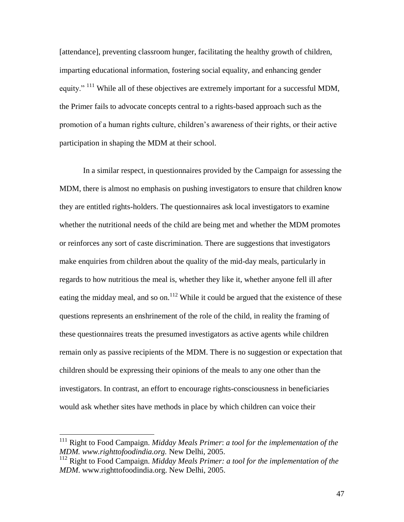[attendance], preventing classroom hunger, facilitating the healthy growth of children, imparting educational information, fostering social equality, and enhancing gender equity." <sup>111</sup> While all of these objectives are extremely important for a successful MDM, the Primer fails to advocate concepts central to a rights-based approach such as the promotion of a human rights culture, children's awareness of their rights, or their active participation in shaping the MDM at their school.

In a similar respect, in questionnaires provided by the Campaign for assessing the MDM, there is almost no emphasis on pushing investigators to ensure that children know they are entitled rights-holders. The questionnaires ask local investigators to examine whether the nutritional needs of the child are being met and whether the MDM promotes or reinforces any sort of caste discrimination. There are suggestions that investigators make enquiries from children about the quality of the mid-day meals, particularly in regards to how nutritious the meal is, whether they like it, whether anyone fell ill after eating the midday meal, and so on.<sup>112</sup> While it could be argued that the existence of these questions represents an enshrinement of the role of the child, in reality the framing of these questionnaires treats the presumed investigators as active agents while children remain only as passive recipients of the MDM. There is no suggestion or expectation that children should be expressing their opinions of the meals to any one other than the investigators. In contrast, an effort to encourage rights-consciousness in beneficiaries would ask whether sites have methods in place by which children can voice their

<sup>111</sup> Right to Food Campaign. *Midday Meals Primer*: *a tool for the implementation of the MDM. www.righttofoodindia.org.* New Delhi*,* 2005.

<sup>112</sup> Right to Food Campaign. *Midday Meals Primer: a tool for the implementation of the MDM*. www.righttofoodindia.org. New Delhi, 2005.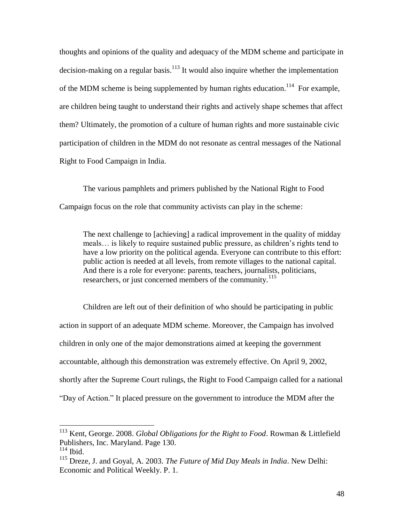thoughts and opinions of the quality and adequacy of the MDM scheme and participate in decision-making on a regular basis.<sup>113</sup> It would also inquire whether the implementation of the MDM scheme is being supplemented by human rights education.<sup>114</sup> For example, are children being taught to understand their rights and actively shape schemes that affect them? Ultimately, the promotion of a culture of human rights and more sustainable civic participation of children in the MDM do not resonate as central messages of the National Right to Food Campaign in India.

 The various pamphlets and primers published by the National Right to Food Campaign focus on the role that community activists can play in the scheme:

The next challenge to [achieving] a radical improvement in the quality of midday meals… is likely to require sustained public pressure, as children's rights tend to have a low priority on the political agenda. Everyone can contribute to this effort: public action is needed at all levels, from remote villages to the national capital. And there is a role for everyone: parents, teachers, journalists, politicians, researchers, or just concerned members of the community.<sup>115</sup>

Children are left out of their definition of who should be participating in public action in support of an adequate MDM scheme. Moreover, the Campaign has involved children in only one of the major demonstrations aimed at keeping the government accountable, although this demonstration was extremely effective. On April 9, 2002, shortly after the Supreme Court rulings, the Right to Food Campaign called for a national "Day of Action." It placed pressure on the government to introduce the MDM after the

<sup>113</sup> Kent, George. 2008. *Global Obligations for the Right to Food*. Rowman & Littlefield Publishers, Inc. Maryland. Page 130.  $114$  Ibid.

<sup>115</sup> Dreze, J. and Goyal, A. 2003. *The Future of Mid Day Meals in India*. New Delhi: Economic and Political Weekly. P. 1.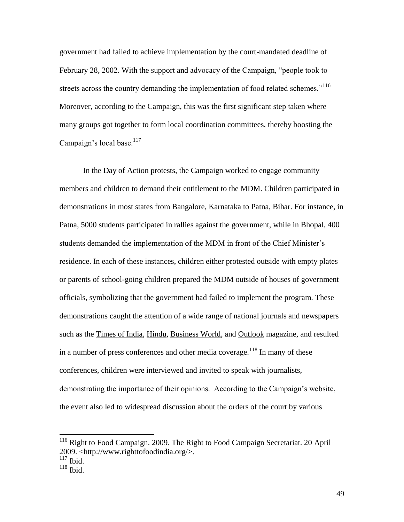government had failed to achieve implementation by the court-mandated deadline of February 28, 2002. With the support and advocacy of the Campaign, "people took to streets across the country demanding the implementation of food related schemes."<sup>116</sup> Moreover, according to the Campaign, this was the first significant step taken where many groups got together to form local coordination committees, thereby boosting the Campaign's local base. $117$ 

In the Day of Action protests, the Campaign worked to engage community members and children to demand their entitlement to the MDM. Children participated in demonstrations in most states from Bangalore, Karnataka to Patna, Bihar. For instance, in Patna, 5000 students participated in rallies against the government, while in Bhopal, 400 students demanded the implementation of the MDM in front of the Chief Minister's residence. In each of these instances, children either protested outside with empty plates or parents of school-going children prepared the MDM outside of houses of government officials, symbolizing that the government had failed to implement the program. These demonstrations caught the attention of a wide range of national journals and newspapers such as the Times of India, Hindu, Business World, and Outlook magazine, and resulted in a number of press conferences and other media coverage.<sup>118</sup> In many of these conferences, children were interviewed and invited to speak with journalists, demonstrating the importance of their opinions. According to the Campaign's website, the event also led to widespread discussion about the orders of the court by various

<sup>&</sup>lt;sup>116</sup> Right to Food Campaign. 2009. The Right to Food Campaign Secretariat. 20 April 2009. <http://www.righttofoodindia.org/>.

 $117$  Ibid.

 $118$  Ibid.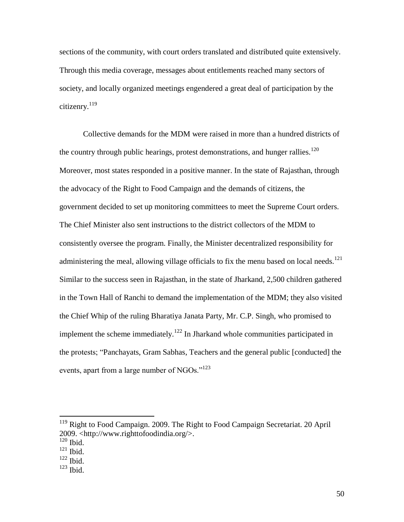sections of the community, with court orders translated and distributed quite extensively. Through this media coverage, messages about entitlements reached many sectors of society, and locally organized meetings engendered a great deal of participation by the citizenry.<sup>119</sup>

Collective demands for the MDM were raised in more than a hundred districts of the country through public hearings, protest demonstrations, and hunger rallies.<sup>120</sup> Moreover, most states responded in a positive manner. In the state of Rajasthan, through the advocacy of the Right to Food Campaign and the demands of citizens, the government decided to set up monitoring committees to meet the Supreme Court orders. The Chief Minister also sent instructions to the district collectors of the MDM to consistently oversee the program. Finally, the Minister decentralized responsibility for administering the meal, allowing village officials to fix the menu based on local needs.<sup>121</sup> Similar to the success seen in Rajasthan, in the state of Jharkand, 2,500 children gathered in the Town Hall of Ranchi to demand the implementation of the MDM; they also visited the Chief Whip of the ruling Bharatiya Janata Party, Mr. C.P. Singh, who promised to implement the scheme immediately.<sup>122</sup> In Jharkand whole communities participated in the protests; "Panchayats, Gram Sabhas, Teachers and the general public [conducted] the events, apart from a large number of NGOs."<sup>123</sup>

<sup>&</sup>lt;sup>119</sup> Right to Food Campaign. 2009. The Right to Food Campaign Secretariat. 20 April 2009. <http://www.righttofoodindia.org/>.  $120$  Ibid.

 $121$  Ibid.

 $122$  Ibid.

 $123$  Ibid.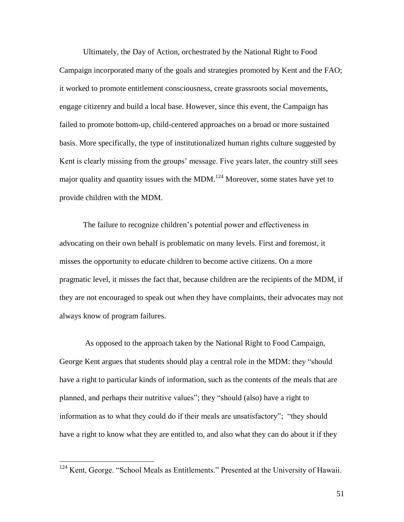Ultimately, the Day of Action, orchestrated by the National Right to Food Campaign incorporated many of the goals and strategies promoted by Kent and the FAO; it worked to promote entitlement consciousness, create grassroots social movements, engage citizenry and build a local base. However, since this event, the Campaign has failed to promote bottom-up, child-centered approaches on a broad or more sustained basis. More specifically, the type of institutionalized human rights culture suggested by Kent is clearly missing from the groups' message. Five years later, the country still sees major quality and quantity issues with the MDM.<sup>124</sup> Moreover, some states have yet to provide children with the MDM.

The failure to recognize children's potential power and effectiveness in advocating on their own behalf is problematic on many levels. First and foremost, it misses the opportunity to educate children to become active citizens. On a more pragmatic level, it misses the fact that, because children are the recipients of the MDM, if they are not encouraged to speak out when they have complaints, their advocates may not always know of program failures.

 As opposed to the approach taken by the National Right to Food Campaign, George Kent argues that students should play a central role in the MDM: they "should have a right to particular kinds of information, such as the contents of the meals that are planned, and perhaps their nutritive values"; they "should (also) have a right to information as to what they could do if their meals are unsatisfactory"; "they should have a right to know what they are entitled to, and also what they can do about it if they

<sup>&</sup>lt;sup>124</sup> Kent, George. "School Meals as Entitlements." Presented at the University of Hawaii.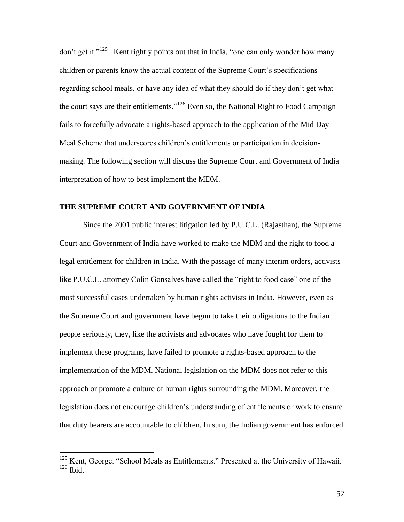don't get it."<sup>125</sup> Kent rightly points out that in India, "one can only wonder how many children or parents know the actual content of the Supreme Court's specifications regarding school meals, or have any idea of what they should do if they don't get what the court says are their entitlements."<sup>126</sup> Even so, the National Right to Food Campaign fails to forcefully advocate a rights-based approach to the application of the Mid Day Meal Scheme that underscores children's entitlements or participation in decisionmaking. The following section will discuss the Supreme Court and Government of India interpretation of how to best implement the MDM.

# **THE SUPREME COURT AND GOVERNMENT OF INDIA**

Since the 2001 public interest litigation led by P.U.C.L. (Rajasthan), the Supreme Court and Government of India have worked to make the MDM and the right to food a legal entitlement for children in India. With the passage of many interim orders, activists like P.U.C.L. attorney Colin Gonsalves have called the "right to food case" one of the most successful cases undertaken by human rights activists in India. However, even as the Supreme Court and government have begun to take their obligations to the Indian people seriously, they, like the activists and advocates who have fought for them to implement these programs, have failed to promote a rights-based approach to the implementation of the MDM. National legislation on the MDM does not refer to this approach or promote a culture of human rights surrounding the MDM. Moreover, the legislation does not encourage children's understanding of entitlements or work to ensure that duty bearers are accountable to children. In sum, the Indian government has enforced

<sup>&</sup>lt;sup>125</sup> Kent, George. "School Meals as Entitlements." Presented at the University of Hawaii. <sup>126</sup> Ibid.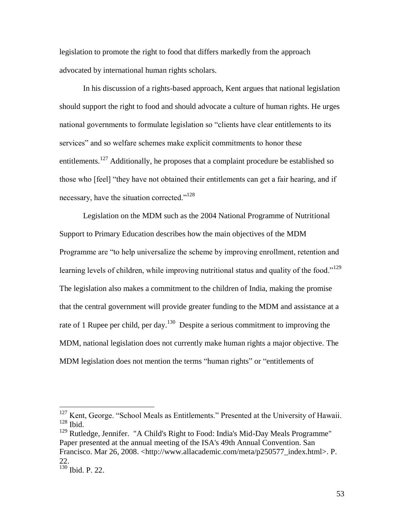legislation to promote the right to food that differs markedly from the approach advocated by international human rights scholars.

In his discussion of a rights-based approach, Kent argues that national legislation should support the right to food and should advocate a culture of human rights. He urges national governments to formulate legislation so "clients have clear entitlements to its services" and so welfare schemes make explicit commitments to honor these entitlements.<sup>127</sup> Additionally, he proposes that a complaint procedure be established so those who [feel] "they have not obtained their entitlements can get a fair hearing, and if necessary, have the situation corrected."<sup>128</sup>

Legislation on the MDM such as the 2004 National Programme of Nutritional Support to Primary Education describes how the main objectives of the MDM Programme are "to help universalize the scheme by improving enrollment, retention and learning levels of children, while improving nutritional status and quality of the food."<sup>129</sup> The legislation also makes a commitment to the children of India, making the promise that the central government will provide greater funding to the MDM and assistance at a rate of 1 Rupee per child, per day.<sup>130</sup> Despite a serious commitment to improving the MDM, national legislation does not currently make human rights a major objective. The MDM legislation does not mention the terms "human rights" or "entitlements of

<sup>&</sup>lt;sup>127</sup> Kent, George. "School Meals as Entitlements." Presented at the University of Hawaii.  $^{128}$  Ibid.

<sup>&</sup>lt;sup>129</sup> Rutledge, Jennifer. "A Child's Right to Food: India's Mid-Day Meals Programme" Paper presented at the annual meeting of the ISA's 49th Annual Convention. San Francisco. Mar 26, 2008. <http://www.allacademic.com/meta/p250577\_index.html>. P. 22.

 $\frac{22}{130}$  Ibid. P. 22.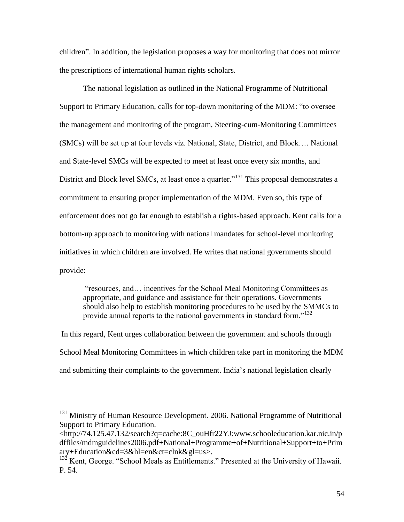children". In addition, the legislation proposes a way for monitoring that does not mirror the prescriptions of international human rights scholars.

The national legislation as outlined in the National Programme of Nutritional Support to Primary Education, calls for top-down monitoring of the MDM: "to oversee the management and monitoring of the program, Steering-cum-Monitoring Committees (SMCs) will be set up at four levels viz. National, State, District, and Block…. National and State-level SMCs will be expected to meet at least once every six months, and District and Block level SMCs, at least once a quarter.<sup>"131</sup> This proposal demonstrates a commitment to ensuring proper implementation of the MDM. Even so, this type of enforcement does not go far enough to establish a rights-based approach. Kent calls for a bottom-up approach to monitoring with national mandates for school-level monitoring initiatives in which children are involved. He writes that national governments should provide:

"resources, and… incentives for the School Meal Monitoring Committees as appropriate, and guidance and assistance for their operations. Governments should also help to establish monitoring procedures to be used by the SMMCs to provide annual reports to the national governments in standard form."<sup>132</sup>

In this regard, Kent urges collaboration between the government and schools through School Meal Monitoring Committees in which children take part in monitoring the MDM and submitting their complaints to the government. India's national legislation clearly

<sup>&</sup>lt;sup>131</sup> Ministry of Human Resource Development. 2006. National Programme of Nutritional Support to Primary Education.

<sup>&</sup>lt;http://74.125.47.132/search?q=cache:8C\_ouHfr22YJ:www.schooleducation.kar.nic.in/p dffiles/mdmguidelines2006.pdf+National+Programme+of+Nutritional+Support+to+Prim ary+Education&cd=3&hl=en&ct=clnk&gl=us>.

 $132$  Kent, George. "School Meals as Entitlements." Presented at the University of Hawaii. P. 54.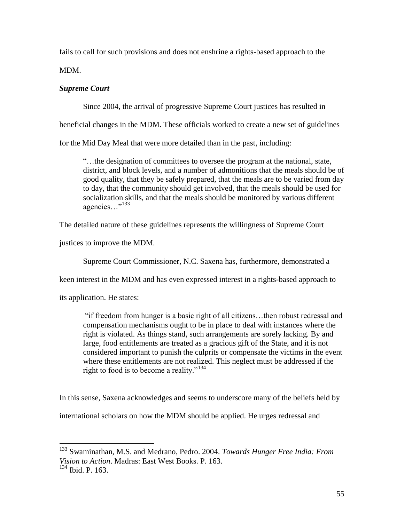fails to call for such provisions and does not enshrine a rights-based approach to the

MDM.

# *Supreme Court*

Since 2004, the arrival of progressive Supreme Court justices has resulted in

beneficial changes in the MDM. These officials worked to create a new set of guidelines

for the Mid Day Meal that were more detailed than in the past, including:

"…the designation of committees to oversee the program at the national, state, district, and block levels, and a number of admonitions that the meals should be of good quality, that they be safely prepared, that the meals are to be varied from day to day, that the community should get involved, that the meals should be used for socialization skills, and that the meals should be monitored by various different agencies…"<sup>133</sup>

The detailed nature of these guidelines represents the willingness of Supreme Court

justices to improve the MDM.

Supreme Court Commissioner, N.C. Saxena has, furthermore, demonstrated a

keen interest in the MDM and has even expressed interest in a rights-based approach to

its application. He states:

 $\overline{a}$ 

"if freedom from hunger is a basic right of all citizens…then robust redressal and compensation mechanisms ought to be in place to deal with instances where the right is violated. As things stand, such arrangements are sorely lacking. By and large, food entitlements are treated as a gracious gift of the State, and it is not considered important to punish the culprits or compensate the victims in the event where these entitlements are not realized. This neglect must be addressed if the right to food is to become a reality."<sup>134</sup>

In this sense, Saxena acknowledges and seems to underscore many of the beliefs held by

international scholars on how the MDM should be applied. He urges redressal and

<sup>133</sup> Swaminathan, M.S. and Medrano, Pedro. 2004. *Towards Hunger Free India: From Vision to Action*. Madras: East West Books. P. 163. <sup>134</sup> Ibid. P. 163.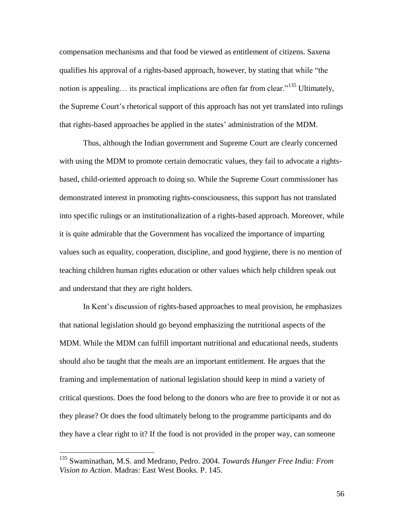compensation mechanisms and that food be viewed as entitlement of citizens. Saxena qualifies his approval of a rights-based approach, however, by stating that while "the notion is appealing... its practical implications are often far from clear."<sup>135</sup> Ultimately, the Supreme Court's rhetorical support of this approach has not yet translated into rulings that rights-based approaches be applied in the states' administration of the MDM.

Thus, although the Indian government and Supreme Court are clearly concerned with using the MDM to promote certain democratic values, they fail to advocate a rightsbased, child-oriented approach to doing so. While the Supreme Court commissioner has demonstrated interest in promoting rights-consciousness, this support has not translated into specific rulings or an institutionalization of a rights-based approach. Moreover, while it is quite admirable that the Government has vocalized the importance of imparting values such as equality, cooperation, discipline, and good hygiene, there is no mention of teaching children human rights education or other values which help children speak out and understand that they are right holders.

In Kent's discussion of rights-based approaches to meal provision, he emphasizes that national legislation should go beyond emphasizing the nutritional aspects of the MDM. While the MDM can fulfill important nutritional and educational needs, students should also be taught that the meals are an important entitlement. He argues that the framing and implementation of national legislation should keep in mind a variety of critical questions. Does the food belong to the donors who are free to provide it or not as they please? Or does the food ultimately belong to the programme participants and do they have a clear right to it? If the food is not provided in the proper way, can someone

<sup>135</sup> Swaminathan, M.S. and Medrano, Pedro. 2004. *Towards Hunger Free India: From Vision to Action*. Madras: East West Books. P. 145.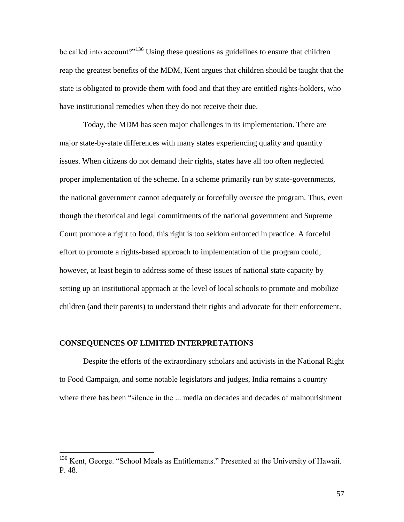be called into account?"<sup>136</sup> Using these questions as guidelines to ensure that children reap the greatest benefits of the MDM, Kent argues that children should be taught that the state is obligated to provide them with food and that they are entitled rights-holders, who have institutional remedies when they do not receive their due.

 Today, the MDM has seen major challenges in its implementation. There are major state-by-state differences with many states experiencing quality and quantity issues. When citizens do not demand their rights, states have all too often neglected proper implementation of the scheme. In a scheme primarily run by state-governments, the national government cannot adequately or forcefully oversee the program. Thus, even though the rhetorical and legal commitments of the national government and Supreme Court promote a right to food, this right is too seldom enforced in practice. A forceful effort to promote a rights-based approach to implementation of the program could, however, at least begin to address some of these issues of national state capacity by setting up an institutional approach at the level of local schools to promote and mobilize children (and their parents) to understand their rights and advocate for their enforcement.

## **CONSEQUENCES OF LIMITED INTERPRETATIONS**

 $\overline{a}$ 

Despite the efforts of the extraordinary scholars and activists in the National Right to Food Campaign, and some notable legislators and judges, India remains a country where there has been "silence in the ... media on decades and decades of malnourishment

<sup>&</sup>lt;sup>136</sup> Kent, George. "School Meals as Entitlements." Presented at the University of Hawaii. P. 48.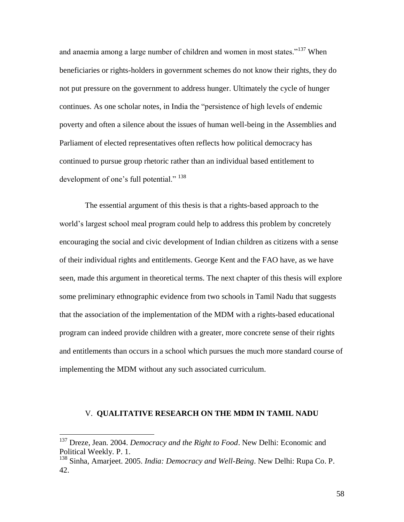and anaemia among a large number of children and women in most states."<sup>137</sup> When beneficiaries or rights-holders in government schemes do not know their rights, they do not put pressure on the government to address hunger. Ultimately the cycle of hunger continues. As one scholar notes, in India the "persistence of high levels of endemic poverty and often a silence about the issues of human well-being in the Assemblies and Parliament of elected representatives often reflects how political democracy has continued to pursue group rhetoric rather than an individual based entitlement to development of one's full potential." <sup>138</sup>

The essential argument of this thesis is that a rights-based approach to the world's largest school meal program could help to address this problem by concretely encouraging the social and civic development of Indian children as citizens with a sense of their individual rights and entitlements. George Kent and the FAO have, as we have seen, made this argument in theoretical terms. The next chapter of this thesis will explore some preliminary ethnographic evidence from two schools in Tamil Nadu that suggests that the association of the implementation of the MDM with a rights-based educational program can indeed provide children with a greater, more concrete sense of their rights and entitlements than occurs in a school which pursues the much more standard course of implementing the MDM without any such associated curriculum.

## V. **QUALITATIVE RESEARCH ON THE MDM IN TAMIL NADU**

<sup>&</sup>lt;sup>137</sup> Dreze, Jean. 2004. *Democracy and the Right to Food*. New Delhi: Economic and Political Weekly. P. 1.

<sup>138</sup> Sinha, Amarjeet. 2005. *India: Democracy and Well-Being*. New Delhi: Rupa Co. P. 42.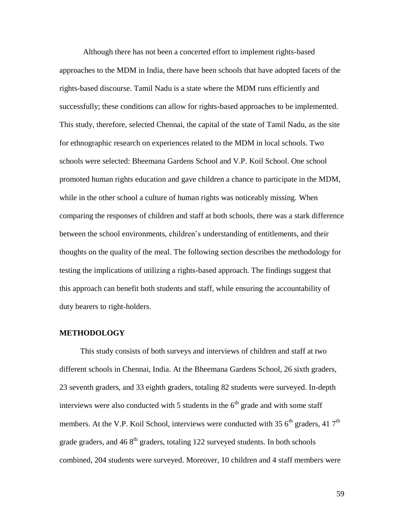Although there has not been a concerted effort to implement rights-based approaches to the MDM in India, there have been schools that have adopted facets of the rights-based discourse. Tamil Nadu is a state where the MDM runs efficiently and successfully; these conditions can allow for rights-based approaches to be implemented. This study, therefore, selected Chennai, the capital of the state of Tamil Nadu, as the site for ethnographic research on experiences related to the MDM in local schools. Two schools were selected: Bheemana Gardens School and V.P. Koil School. One school promoted human rights education and gave children a chance to participate in the MDM, while in the other school a culture of human rights was noticeably missing. When comparing the responses of children and staff at both schools, there was a stark difference between the school environments, children's understanding of entitlements, and their thoughts on the quality of the meal. The following section describes the methodology for testing the implications of utilizing a rights-based approach. The findings suggest that this approach can benefit both students and staff, while ensuring the accountability of duty bearers to right-holders.

### **METHODOLOGY**

This study consists of both surveys and interviews of children and staff at two different schools in Chennai, India. At the Bheemana Gardens School, 26 sixth graders, 23 seventh graders, and 33 eighth graders, totaling 82 students were surveyed. In-depth interviews were also conducted with 5 students in the  $6<sup>th</sup>$  grade and with some staff members. At the V.P. Koil School, interviews were conducted with 35  $6<sup>th</sup>$  graders, 41  $7<sup>th</sup>$ grade graders, and  $468<sup>th</sup>$  graders, totaling 122 surveyed students. In both schools combined, 204 students were surveyed. Moreover, 10 children and 4 staff members were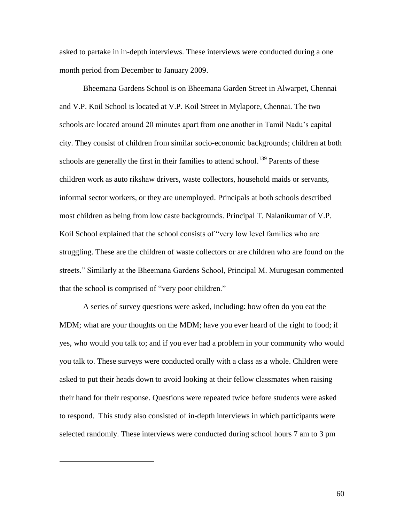asked to partake in in-depth interviews. These interviews were conducted during a one month period from December to January 2009.

Bheemana Gardens School is on Bheemana Garden Street in Alwarpet, Chennai and V.P. Koil School is located at V.P. Koil Street in Mylapore, Chennai. The two schools are located around 20 minutes apart from one another in Tamil Nadu's capital city. They consist of children from similar socio-economic backgrounds; children at both schools are generally the first in their families to attend school.<sup>139</sup> Parents of these children work as auto rikshaw drivers, waste collectors, household maids or servants, informal sector workers, or they are unemployed. Principals at both schools described most children as being from low caste backgrounds. Principal T. Nalanikumar of V.P. Koil School explained that the school consists of "very low level families who are struggling. These are the children of waste collectors or are children who are found on the streets." Similarly at the Bheemana Gardens School, Principal M. Murugesan commented that the school is comprised of "very poor children."

A series of survey questions were asked, including: how often do you eat the MDM; what are your thoughts on the MDM; have you ever heard of the right to food; if yes, who would you talk to; and if you ever had a problem in your community who would you talk to. These surveys were conducted orally with a class as a whole. Children were asked to put their heads down to avoid looking at their fellow classmates when raising their hand for their response. Questions were repeated twice before students were asked to respond. This study also consisted of in-depth interviews in which participants were selected randomly. These interviews were conducted during school hours 7 am to 3 pm

 $\overline{a}$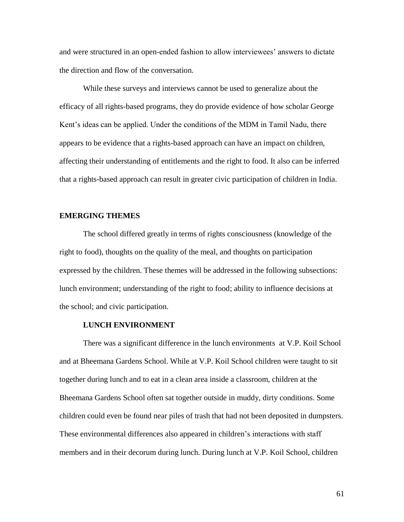and were structured in an open-ended fashion to allow interviewees' answers to dictate the direction and flow of the conversation.

 While these surveys and interviews cannot be used to generalize about the efficacy of all rights-based programs, they do provide evidence of how scholar George Kent's ideas can be applied. Under the conditions of the MDM in Tamil Nadu, there appears to be evidence that a rights-based approach can have an impact on children, affecting their understanding of entitlements and the right to food. It also can be inferred that a rights-based approach can result in greater civic participation of children in India.

## **EMERGING THEMES**

The school differed greatly in terms of rights consciousness (knowledge of the right to food), thoughts on the quality of the meal, and thoughts on participation expressed by the children. These themes will be addressed in the following subsections: lunch environment; understanding of the right to food; ability to influence decisions at the school; and civic participation.

## **LUNCH ENVIRONMENT**

There was a significant difference in the lunch environments at V.P. Koil School and at Bheemana Gardens School. While at V.P. Koil School children were taught to sit together during lunch and to eat in a clean area inside a classroom, children at the Bheemana Gardens School often sat together outside in muddy, dirty conditions. Some children could even be found near piles of trash that had not been deposited in dumpsters. These environmental differences also appeared in children's interactions with staff members and in their decorum during lunch. During lunch at V.P. Koil School, children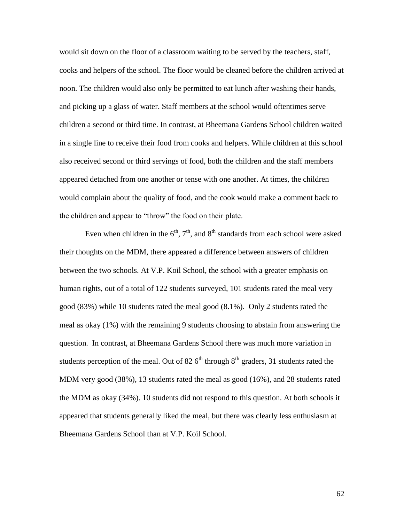would sit down on the floor of a classroom waiting to be served by the teachers, staff, cooks and helpers of the school. The floor would be cleaned before the children arrived at noon. The children would also only be permitted to eat lunch after washing their hands, and picking up a glass of water. Staff members at the school would oftentimes serve children a second or third time. In contrast, at Bheemana Gardens School children waited in a single line to receive their food from cooks and helpers. While children at this school also received second or third servings of food, both the children and the staff members appeared detached from one another or tense with one another. At times, the children would complain about the quality of food, and the cook would make a comment back to the children and appear to "throw" the food on their plate.

Even when children in the  $6<sup>th</sup>$ ,  $7<sup>th</sup>$ , and  $8<sup>th</sup>$  standards from each school were asked their thoughts on the MDM, there appeared a difference between answers of children between the two schools. At V.P. Koil School, the school with a greater emphasis on human rights, out of a total of 122 students surveyed, 101 students rated the meal very good (83%) while 10 students rated the meal good (8.1%). Only 2 students rated the meal as okay (1%) with the remaining 9 students choosing to abstain from answering the question. In contrast, at Bheemana Gardens School there was much more variation in students perception of the meal. Out of 82  $6<sup>th</sup>$  through  $8<sup>th</sup>$  graders, 31 students rated the MDM very good (38%), 13 students rated the meal as good (16%), and 28 students rated the MDM as okay (34%). 10 students did not respond to this question. At both schools it appeared that students generally liked the meal, but there was clearly less enthusiasm at Bheemana Gardens School than at V.P. Koil School.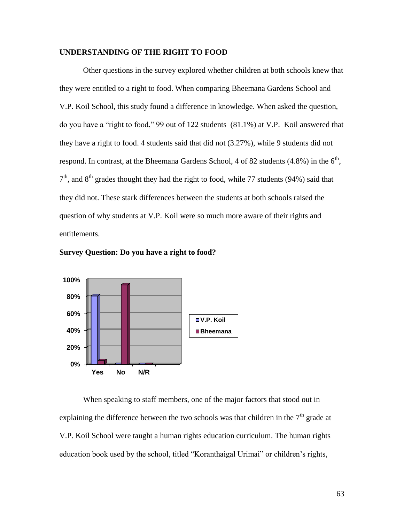# **UNDERSTANDING OF THE RIGHT TO FOOD**

Other questions in the survey explored whether children at both schools knew that they were entitled to a right to food. When comparing Bheemana Gardens School and V.P. Koil School, this study found a difference in knowledge. When asked the question, do you have a "right to food," 99 out of 122 students (81.1%) at V.P. Koil answered that they have a right to food. 4 students said that did not (3.27%), while 9 students did not respond. In contrast, at the Bheemana Gardens School, 4 of 82 students  $(4.8\%)$  in the  $6<sup>th</sup>$ ,  $7<sup>th</sup>$ , and  $8<sup>th</sup>$  grades thought they had the right to food, while 77 students (94%) said that they did not. These stark differences between the students at both schools raised the question of why students at V.P. Koil were so much more aware of their rights and entitlements.



**Survey Question: Do you have a right to food?** 

When speaking to staff members, one of the major factors that stood out in explaining the difference between the two schools was that children in the  $7<sup>th</sup>$  grade at V.P. Koil School were taught a human rights education curriculum. The human rights education book used by the school, titled "Koranthaigal Urimai" or children's rights,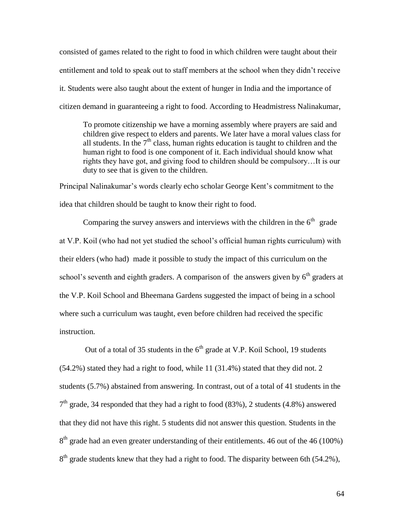consisted of games related to the right to food in which children were taught about their entitlement and told to speak out to staff members at the school when they didn't receive it. Students were also taught about the extent of hunger in India and the importance of citizen demand in guaranteeing a right to food. According to Headmistress Nalinakumar,

To promote citizenship we have a morning assembly where prayers are said and children give respect to elders and parents. We later have a moral values class for all students. In the  $7<sup>th</sup>$  class, human rights education is taught to children and the human right to food is one component of it. Each individual should know what rights they have got, and giving food to children should be compulsory…It is our duty to see that is given to the children.

Principal Nalinakumar's words clearly echo scholar George Kent's commitment to the idea that children should be taught to know their right to food.

Comparing the survey answers and interviews with the children in the  $6<sup>th</sup>$  grade at V.P. Koil (who had not yet studied the school's official human rights curriculum) with their elders (who had) made it possible to study the impact of this curriculum on the school's seventh and eighth graders. A comparison of the answers given by  $6<sup>th</sup>$  graders at the V.P. Koil School and Bheemana Gardens suggested the impact of being in a school where such a curriculum was taught, even before children had received the specific instruction.

Out of a total of 35 students in the  $6<sup>th</sup>$  grade at V.P. Koil School, 19 students (54.2%) stated they had a right to food, while 11 (31.4%) stated that they did not. 2 students (5.7%) abstained from answering. In contrast, out of a total of 41 students in the  $7<sup>th</sup>$  grade, 34 responded that they had a right to food (83%), 2 students (4.8%) answered that they did not have this right. 5 students did not answer this question. Students in the  $8<sup>th</sup>$  grade had an even greater understanding of their entitlements. 46 out of the 46 (100%)  $8<sup>th</sup>$  grade students knew that they had a right to food. The disparity between 6th (54.2%),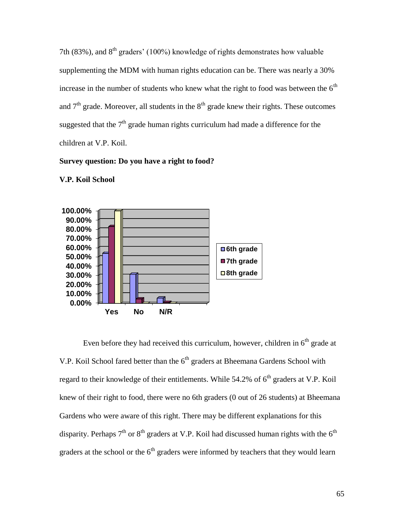7th (83%), and  $8<sup>th</sup>$  graders' (100%) knowledge of rights demonstrates how valuable supplementing the MDM with human rights education can be. There was nearly a 30% increase in the number of students who knew what the right to food was between the  $6<sup>th</sup>$ and  $7<sup>th</sup>$  grade. Moreover, all students in the  $8<sup>th</sup>$  grade knew their rights. These outcomes suggested that the  $7<sup>th</sup>$  grade human rights curriculum had made a difference for the children at V.P. Koil.

# **Survey question: Do you have a right to food?**



**V.P. Koil School**

Even before they had received this curriculum, however, children in  $6<sup>th</sup>$  grade at V.P. Koil School fared better than the  $6<sup>th</sup>$  graders at Bheemana Gardens School with regard to their knowledge of their entitlements. While  $54.2\%$  of  $6<sup>th</sup>$  graders at V.P. Koil knew of their right to food, there were no 6th graders (0 out of 26 students) at Bheemana Gardens who were aware of this right. There may be different explanations for this disparity. Perhaps  $7<sup>th</sup>$  or  $8<sup>th</sup>$  graders at V.P. Koil had discussed human rights with the  $6<sup>th</sup>$ graders at the school or the  $6<sup>th</sup>$  graders were informed by teachers that they would learn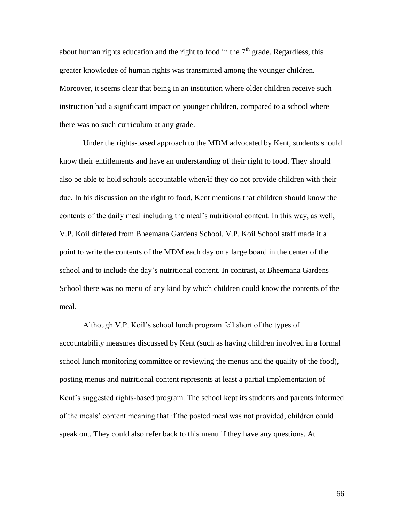about human rights education and the right to food in the  $7<sup>th</sup>$  grade. Regardless, this greater knowledge of human rights was transmitted among the younger children. Moreover, it seems clear that being in an institution where older children receive such instruction had a significant impact on younger children, compared to a school where there was no such curriculum at any grade.

Under the rights-based approach to the MDM advocated by Kent, students should know their entitlements and have an understanding of their right to food. They should also be able to hold schools accountable when/if they do not provide children with their due. In his discussion on the right to food, Kent mentions that children should know the contents of the daily meal including the meal's nutritional content. In this way, as well, V.P. Koil differed from Bheemana Gardens School. V.P. Koil School staff made it a point to write the contents of the MDM each day on a large board in the center of the school and to include the day's nutritional content. In contrast, at Bheemana Gardens School there was no menu of any kind by which children could know the contents of the meal.

Although V.P. Koil's school lunch program fell short of the types of accountability measures discussed by Kent (such as having children involved in a formal school lunch monitoring committee or reviewing the menus and the quality of the food), posting menus and nutritional content represents at least a partial implementation of Kent's suggested rights-based program. The school kept its students and parents informed of the meals' content meaning that if the posted meal was not provided, children could speak out. They could also refer back to this menu if they have any questions. At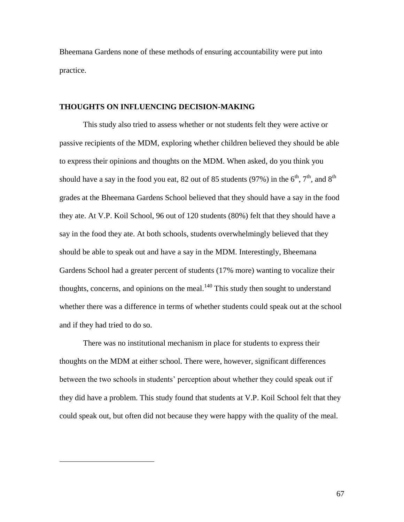Bheemana Gardens none of these methods of ensuring accountability were put into practice.

#### **THOUGHTS ON INFLUENCING DECISION-MAKING**

This study also tried to assess whether or not students felt they were active or passive recipients of the MDM, exploring whether children believed they should be able to express their opinions and thoughts on the MDM. When asked, do you think you should have a say in the food you eat, 82 out of 85 students (97%) in the  $6<sup>th</sup>$ ,  $7<sup>th</sup>$ , and  $8<sup>th</sup>$ grades at the Bheemana Gardens School believed that they should have a say in the food they ate. At V.P. Koil School, 96 out of 120 students (80%) felt that they should have a say in the food they ate. At both schools, students overwhelmingly believed that they should be able to speak out and have a say in the MDM. Interestingly, Bheemana Gardens School had a greater percent of students (17% more) wanting to vocalize their thoughts, concerns, and opinions on the meal. $140$  This study then sought to understand whether there was a difference in terms of whether students could speak out at the school and if they had tried to do so.

There was no institutional mechanism in place for students to express their thoughts on the MDM at either school. There were, however, significant differences between the two schools in students' perception about whether they could speak out if they did have a problem. This study found that students at V.P. Koil School felt that they could speak out, but often did not because they were happy with the quality of the meal.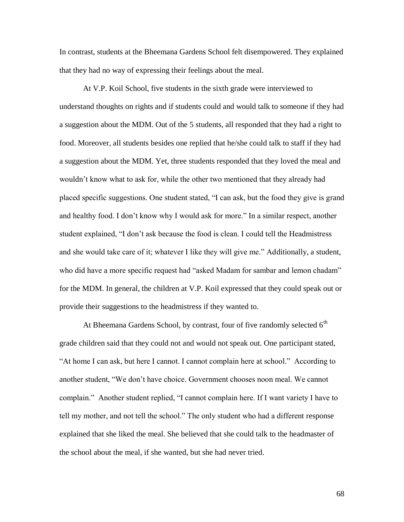In contrast, students at the Bheemana Gardens School felt disempowered. They explained that they had no way of expressing their feelings about the meal.

At V.P. Koil School, five students in the sixth grade were interviewed to understand thoughts on rights and if students could and would talk to someone if they had a suggestion about the MDM. Out of the 5 students, all responded that they had a right to food. Moreover, all students besides one replied that he/she could talk to staff if they had a suggestion about the MDM. Yet, three students responded that they loved the meal and wouldn't know what to ask for, while the other two mentioned that they already had placed specific suggestions. One student stated, "I can ask, but the food they give is grand and healthy food. I don't know why I would ask for more." In a similar respect, another student explained, "I don't ask because the food is clean. I could tell the Headmistress and she would take care of it; whatever I like they will give me." Additionally, a student, who did have a more specific request had "asked Madam for sambar and lemon chadam" for the MDM. In general, the children at V.P. Koil expressed that they could speak out or provide their suggestions to the headmistress if they wanted to.

At Bheemana Gardens School, by contrast, four of five randomly selected  $6<sup>th</sup>$ grade children said that they could not and would not speak out. One participant stated, "At home I can ask, but here I cannot. I cannot complain here at school." According to another student, "We don't have choice. Government chooses noon meal. We cannot complain." Another student replied, "I cannot complain here. If I want variety I have to tell my mother, and not tell the school." The only student who had a different response explained that she liked the meal. She believed that she could talk to the headmaster of the school about the meal, if she wanted, but she had never tried.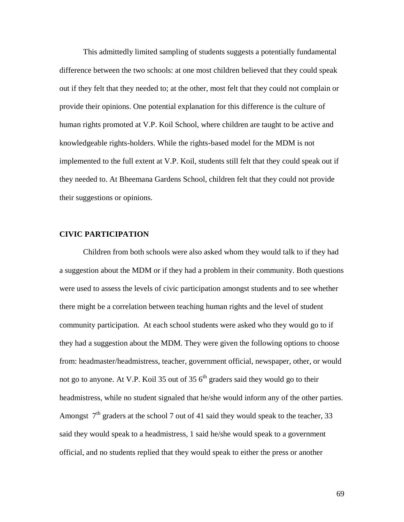This admittedly limited sampling of students suggests a potentially fundamental difference between the two schools: at one most children believed that they could speak out if they felt that they needed to; at the other, most felt that they could not complain or provide their opinions. One potential explanation for this difference is the culture of human rights promoted at V.P. Koil School, where children are taught to be active and knowledgeable rights-holders. While the rights-based model for the MDM is not implemented to the full extent at V.P. Koil, students still felt that they could speak out if they needed to. At Bheemana Gardens School, children felt that they could not provide their suggestions or opinions.

#### **CIVIC PARTICIPATION**

Children from both schools were also asked whom they would talk to if they had a suggestion about the MDM or if they had a problem in their community. Both questions were used to assess the levels of civic participation amongst students and to see whether there might be a correlation between teaching human rights and the level of student community participation. At each school students were asked who they would go to if they had a suggestion about the MDM. They were given the following options to choose from: headmaster/headmistress, teacher, government official, newspaper, other, or would not go to anyone. At V.P. Koil 35 out of 35  $6<sup>th</sup>$  graders said they would go to their headmistress, while no student signaled that he/she would inform any of the other parties. Amongst  $7<sup>th</sup>$  graders at the school 7 out of 41 said they would speak to the teacher, 33 said they would speak to a headmistress, 1 said he/she would speak to a government official, and no students replied that they would speak to either the press or another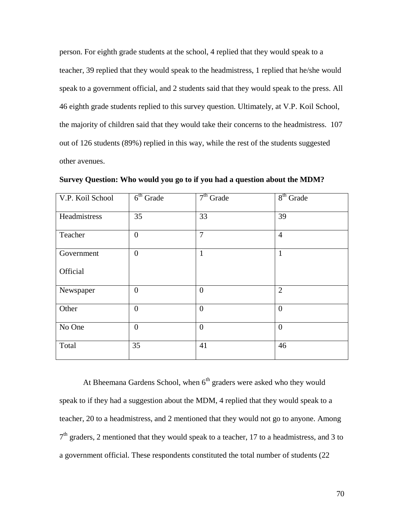person. For eighth grade students at the school, 4 replied that they would speak to a teacher, 39 replied that they would speak to the headmistress, 1 replied that he/she would speak to a government official, and 2 students said that they would speak to the press. All 46 eighth grade students replied to this survey question. Ultimately, at V.P. Koil School, the majority of children said that they would take their concerns to the headmistress. 107 out of 126 students (89%) replied in this way, while the rest of the students suggested other avenues.

| V.P. Koil School | $6th$ Grade    | $7th$ Grade    | $8th$ Grade    |
|------------------|----------------|----------------|----------------|
| Headmistress     | 35             | 33             | 39             |
| Teacher          | $\overline{0}$ | $\overline{7}$ | $\overline{4}$ |
| Government       | $\overline{0}$ | $\mathbf{1}$   | $\mathbf{1}$   |
| Official         |                |                |                |
| Newspaper        | $\overline{0}$ | $\overline{0}$ | $\overline{2}$ |
| Other            | $\overline{0}$ | $\overline{0}$ | $\overline{0}$ |
| No One           | $\overline{0}$ | $\mathbf{0}$   | $\overline{0}$ |
| Total            | 35             | 41             | 46             |

**Survey Question: Who would you go to if you had a question about the MDM?** 

At Bheemana Gardens School, when  $6<sup>th</sup>$  graders were asked who they would speak to if they had a suggestion about the MDM, 4 replied that they would speak to a teacher, 20 to a headmistress, and 2 mentioned that they would not go to anyone. Among  $7<sup>th</sup>$  graders, 2 mentioned that they would speak to a teacher, 17 to a headmistress, and 3 to a government official. These respondents constituted the total number of students (22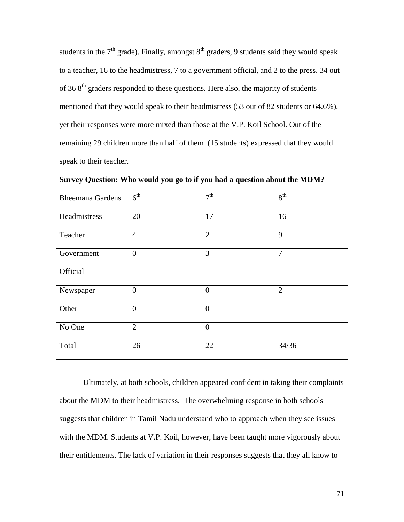students in the  $7<sup>th</sup>$  grade). Finally, amongst  $8<sup>th</sup>$  graders, 9 students said they would speak to a teacher, 16 to the headmistress, 7 to a government official, and 2 to the press. 34 out of 36  $8<sup>th</sup>$  graders responded to these questions. Here also, the majority of students mentioned that they would speak to their headmistress (53 out of 82 students or 64.6%), yet their responses were more mixed than those at the V.P. Koil School. Out of the remaining 29 children more than half of them (15 students) expressed that they would speak to their teacher.

| <b>Bheemana Gardens</b> | 6 <sup>th</sup> | 7 <sup>th</sup> | 8 <sup>th</sup> |
|-------------------------|-----------------|-----------------|-----------------|
| Headmistress            | 20              | 17              | 16              |
| Teacher                 | $\overline{4}$  | $\overline{2}$  | 9               |
| Government              | $\mathbf{0}$    | 3               | $\overline{7}$  |
| Official                |                 |                 |                 |
| Newspaper               | $\overline{0}$  | $\overline{0}$  | $\overline{2}$  |
| Other                   | $\overline{0}$  | $\overline{0}$  |                 |
| No One                  | $\overline{2}$  | $\overline{0}$  |                 |
| Total                   | 26              | 22              | 34/36           |

**Survey Question: Who would you go to if you had a question about the MDM?** 

Ultimately, at both schools, children appeared confident in taking their complaints about the MDM to their headmistress. The overwhelming response in both schools suggests that children in Tamil Nadu understand who to approach when they see issues with the MDM. Students at V.P. Koil, however, have been taught more vigorously about their entitlements. The lack of variation in their responses suggests that they all know to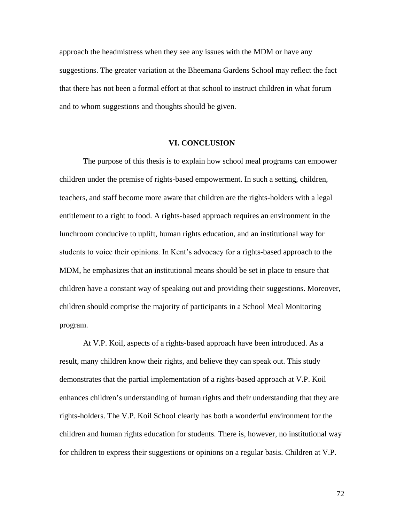approach the headmistress when they see any issues with the MDM or have any suggestions. The greater variation at the Bheemana Gardens School may reflect the fact that there has not been a formal effort at that school to instruct children in what forum and to whom suggestions and thoughts should be given.

#### **VI. CONCLUSION**

The purpose of this thesis is to explain how school meal programs can empower children under the premise of rights-based empowerment. In such a setting, children, teachers, and staff become more aware that children are the rights-holders with a legal entitlement to a right to food. A rights-based approach requires an environment in the lunchroom conducive to uplift, human rights education, and an institutional way for students to voice their opinions. In Kent's advocacy for a rights-based approach to the MDM, he emphasizes that an institutional means should be set in place to ensure that children have a constant way of speaking out and providing their suggestions. Moreover, children should comprise the majority of participants in a School Meal Monitoring program.

At V.P. Koil, aspects of a rights-based approach have been introduced. As a result, many children know their rights, and believe they can speak out. This study demonstrates that the partial implementation of a rights-based approach at V.P. Koil enhances children's understanding of human rights and their understanding that they are rights-holders. The V.P. Koil School clearly has both a wonderful environment for the children and human rights education for students. There is, however, no institutional way for children to express their suggestions or opinions on a regular basis. Children at V.P.

72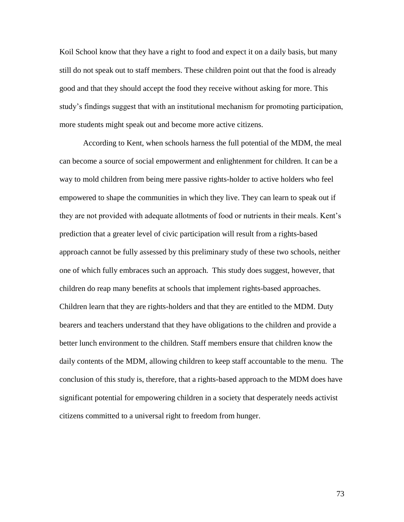Koil School know that they have a right to food and expect it on a daily basis, but many still do not speak out to staff members. These children point out that the food is already good and that they should accept the food they receive without asking for more. This study's findings suggest that with an institutional mechanism for promoting participation, more students might speak out and become more active citizens.

According to Kent, when schools harness the full potential of the MDM, the meal can become a source of social empowerment and enlightenment for children. It can be a way to mold children from being mere passive rights-holder to active holders who feel empowered to shape the communities in which they live. They can learn to speak out if they are not provided with adequate allotments of food or nutrients in their meals. Kent's prediction that a greater level of civic participation will result from a rights-based approach cannot be fully assessed by this preliminary study of these two schools, neither one of which fully embraces such an approach. This study does suggest, however, that children do reap many benefits at schools that implement rights-based approaches. Children learn that they are rights-holders and that they are entitled to the MDM. Duty bearers and teachers understand that they have obligations to the children and provide a better lunch environment to the children. Staff members ensure that children know the daily contents of the MDM, allowing children to keep staff accountable to the menu. The conclusion of this study is, therefore, that a rights-based approach to the MDM does have significant potential for empowering children in a society that desperately needs activist citizens committed to a universal right to freedom from hunger.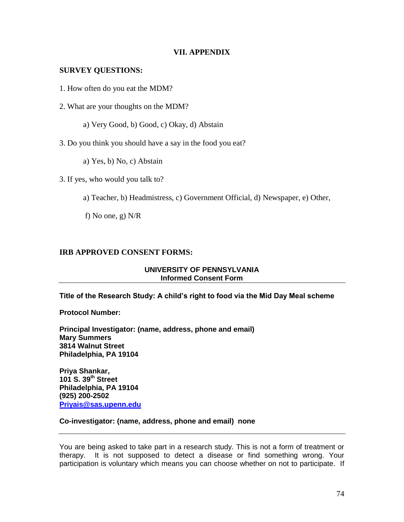# **VII. APPENDIX**

# **SURVEY QUESTIONS:**

- 1. How often do you eat the MDM?
- 2. What are your thoughts on the MDM?
	- a) Very Good, b) Good, c) Okay, d) Abstain
- 3. Do you think you should have a say in the food you eat?
	- a) Yes, b) No, c) Abstain
- 3. If yes, who would you talk to?
	- a) Teacher, b) Headmistress, c) Government Official, d) Newspaper, e) Other,
	- f) No one, g) N/R

# **IRB APPROVED CONSENT FORMS:**

## **UNIVERSITY OF PENNSYLVANIA Informed Consent Form**

**Title of the Research Study: A child's right to food via the Mid Day Meal scheme**

**Protocol Number:** 

**Principal Investigator: (name, address, phone and email) Mary Summers 3814 Walnut Street Philadelphia, PA 19104** 

**Priya Shankar, 101 S. 39th Street Philadelphia, PA 19104 (925) 200-2502 [Priyais@sas.upenn.edu](mailto:Priyais@sas.upenn.edu)**

## **Co-investigator: (name, address, phone and email) none**

You are being asked to take part in a research study. This is not a form of treatment or therapy. It is not supposed to detect a disease or find something wrong. Your participation is voluntary which means you can choose whether on not to participate. If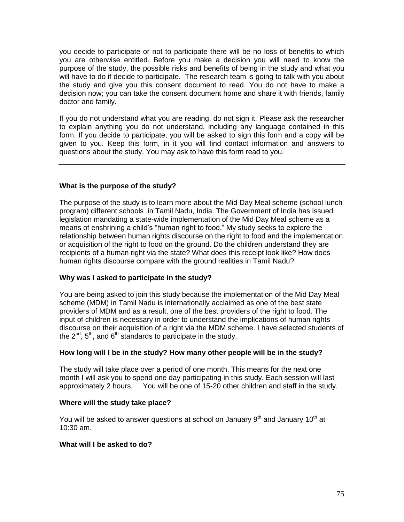you decide to participate or not to participate there will be no loss of benefits to which you are otherwise entitled. Before you make a decision you will need to know the purpose of the study, the possible risks and benefits of being in the study and what you will have to do if decide to participate. The research team is going to talk with you about the study and give you this consent document to read. You do not have to make a decision now; you can take the consent document home and share it with friends, family doctor and family.

If you do not understand what you are reading, do not sign it. Please ask the researcher to explain anything you do not understand, including any language contained in this form. If you decide to participate, you will be asked to sign this form and a copy will be given to you. Keep this form, in it you will find contact information and answers to questions about the study. You may ask to have this form read to you.

# **What is the purpose of the study?**

The purpose of the study is to learn more about the Mid Day Meal scheme (school lunch program) different schools in Tamil Nadu, India. The Government of India has issued legislation mandating a state-wide implementation of the Mid Day Meal scheme as a means of enshrining a child's "human right to food." My study seeks to explore the relationship between human rights discourse on the right to food and the implementation or acquisition of the right to food on the ground. Do the children understand they are recipients of a human right via the state? What does this receipt look like? How does human rights discourse compare with the ground realities in Tamil Nadu?

# **Why was I asked to participate in the study?**

You are being asked to join this study because the implementation of the Mid Day Meal scheme (MDM) in Tamil Nadu is internationally acclaimed as one of the best state providers of MDM and as a result, one of the best providers of the right to food. The input of children is necessary in order to understand the implications of human rights discourse on their acquisition of a right via the MDM scheme. I have selected students of the  $2^{nd}$ ,  $5^{th}$ , and  $6^{th}$  standards to participate in the study.

# **How long will I be in the study? How many other people will be in the study?**

The study will take place over a period of one month. This means for the next one month I will ask you to spend one day participating in this study. Each session will last approximately 2 hours. You will be one of 15-20 other children and staff in the study.

## **Where will the study take place?**

You will be asked to answer questions at school on January  $9<sup>th</sup>$  and January 10<sup>th</sup> at 10:30 am.

## **What will I be asked to do?**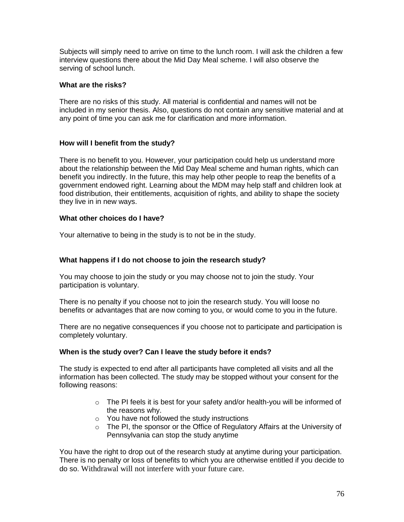Subjects will simply need to arrive on time to the lunch room. I will ask the children a few interview questions there about the Mid Day Meal scheme. I will also observe the serving of school lunch.

# **What are the risks?**

There are no risks of this study. All material is confidential and names will not be included in my senior thesis. Also, questions do not contain any sensitive material and at any point of time you can ask me for clarification and more information.

# **How will I benefit from the study?**

There is no benefit to you. However, your participation could help us understand more about the relationship between the Mid Day Meal scheme and human rights, which can benefit you indirectly. In the future, this may help other people to reap the benefits of a government endowed right. Learning about the MDM may help staff and children look at food distribution, their entitlements, acquisition of rights, and ability to shape the society they live in in new ways.

# **What other choices do I have?**

Your alternative to being in the study is to not be in the study.

# **What happens if I do not choose to join the research study?**

You may choose to join the study or you may choose not to join the study. Your participation is voluntary.

There is no penalty if you choose not to join the research study. You will loose no benefits or advantages that are now coming to you, or would come to you in the future.

There are no negative consequences if you choose not to participate and participation is completely voluntary.

# **When is the study over? Can I leave the study before it ends?**

The study is expected to end after all participants have completed all visits and all the information has been collected. The study may be stopped without your consent for the following reasons:

- o The PI feels it is best for your safety and/or health-you will be informed of the reasons why.
- o You have not followed the study instructions
- o The PI, the sponsor or the Office of Regulatory Affairs at the University of Pennsylvania can stop the study anytime

You have the right to drop out of the research study at anytime during your participation. There is no penalty or loss of benefits to which you are otherwise entitled if you decide to do so. Withdrawal will not interfere with your future care.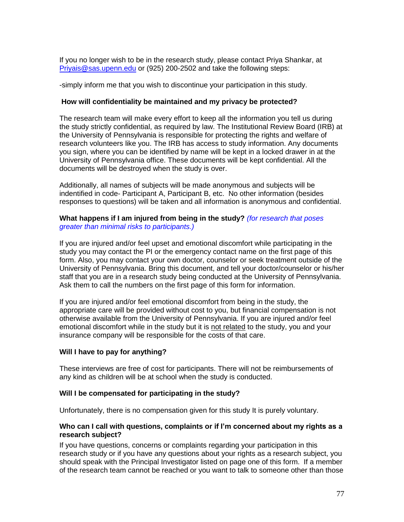If you no longer wish to be in the research study, please contact Priya Shankar, at [Priyais@sas.upenn.edu](mailto:Priyais@sas.upenn.edu) or (925) 200-2502 and take the following steps:

-simply inform me that you wish to discontinue your participation in this study.

## **How will confidentiality be maintained and my privacy be protected?**

The research team will make every effort to keep all the information you tell us during the study strictly confidential, as required by law. The Institutional Review Board (IRB) at the University of Pennsylvania is responsible for protecting the rights and welfare of research volunteers like you. The IRB has access to study information. Any documents you sign, where you can be identified by name will be kept in a locked drawer in at the University of Pennsylvania office. These documents will be kept confidential. All the documents will be destroyed when the study is over.

Additionally, all names of subjects will be made anonymous and subjects will be indentified in code- Participant A, Participant B, etc. No other information (besides responses to questions) will be taken and all information is anonymous and confidential.

## **What happens if I am injured from being in the study?** *(for research that poses greater than minimal risks to participants.)*

If you are injured and/or feel upset and emotional discomfort while participating in the study you may contact the PI or the emergency contact name on the first page of this form. Also, you may contact your own doctor, counselor or seek treatment outside of the University of Pennsylvania. Bring this document, and tell your doctor/counselor or his/her staff that you are in a research study being conducted at the University of Pennsylvania. Ask them to call the numbers on the first page of this form for information.

If you are injured and/or feel emotional discomfort from being in the study, the appropriate care will be provided without cost to you, but financial compensation is not otherwise available from the University of Pennsylvania. If you are injured and/or feel emotional discomfort while in the study but it is not related to the study, you and your insurance company will be responsible for the costs of that care.

# **Will I have to pay for anything?**

These interviews are free of cost for participants. There will not be reimbursements of any kind as children will be at school when the study is conducted.

## **Will I be compensated for participating in the study?**

Unfortunately, there is no compensation given for this study It is purely voluntary.

## **Who can I call with questions, complaints or if I'm concerned about my rights as a research subject?**

If you have questions, concerns or complaints regarding your participation in this research study or if you have any questions about your rights as a research subject, you should speak with the Principal Investigator listed on page one of this form. If a member of the research team cannot be reached or you want to talk to someone other than those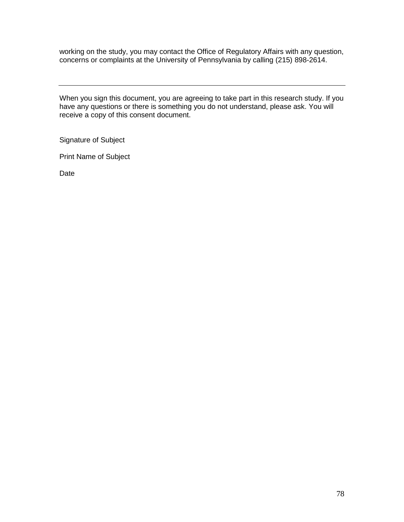working on the study, you may contact the Office of Regulatory Affairs with any question, concerns or complaints at the University of Pennsylvania by calling (215) 898-2614.

When you sign this document, you are agreeing to take part in this research study. If you have any questions or there is something you do not understand, please ask. You will receive a copy of this consent document.

Signature of Subject

Print Name of Subject

Date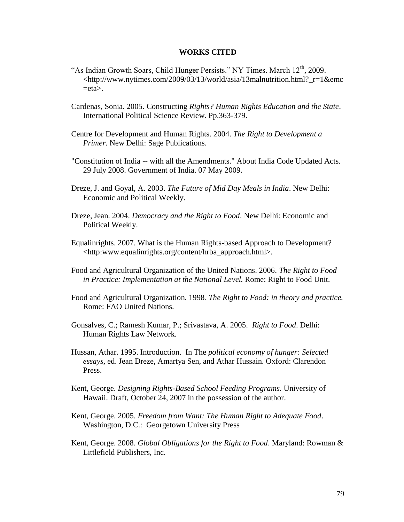## **WORKS CITED**

- "As Indian Growth Soars, Child Hunger Persists." NY Times. March  $12<sup>th</sup>$ , 2009. <http://www.nytimes.com/2009/03/13/world/asia/13malnutrition.html?\_r=1&emc  $=$ eta $>$ .
- Cardenas, Sonia. 2005. Constructing *Rights? Human Rights Education and the State*. International Political Science Review. Pp.363-379.
- Centre for Development and Human Rights. 2004. *The Right to Development a Primer*. New Delhi: Sage Publications.
- "Constitution of India -- with all the Amendments." About India Code Updated Acts. 29 July 2008. Government of India. 07 May 2009.
- Dreze, J. and Goyal, A. 2003. *The Future of Mid Day Meals in India*. New Delhi: Economic and Political Weekly.
- Dreze, Jean. 2004. *Democracy and the Right to Food*. New Delhi: Economic and Political Weekly.
- Equalinrights. 2007. What is the Human Rights-based Approach to Development? <http:www.equalinrights.org/content/hrba\_approach.html>.
- Food and Agricultural Organization of the United Nations. 2006. *The Right to Food in Practice: Implementation at the National Level.* Rome: Right to Food Unit.
- Food and Agricultural Organization. 1998. *The Right to Food: in theory and practice.* Rome: FAO United Nations.
- Gonsalves, C.; Ramesh Kumar, P.; Srivastava, A. 2005. *Right to Food*. Delhi: Human Rights Law Network.
- Hussan, Athar. 1995. Introduction. In The *political economy of hunger: Selected essays,* ed. Jean Dreze, Amartya Sen, and Athar Hussain. Oxford: Clarendon Press.
- Kent, George. *Designing Rights-Based School Feeding Programs.* University of Hawaii. Draft, October 24, 2007 in the possession of the author.
- Kent, George. 2005. *Freedom from Want: The Human Right to Adequate Food*. Washington, D.C.: Georgetown University Press
- Kent, George. 2008. *Global Obligations for the Right to Food*. Maryland: Rowman & Littlefield Publishers, Inc.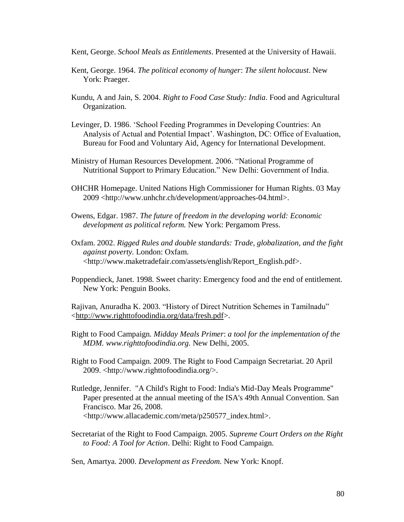- Kent, George. *School Meals as Entitlements*. Presented at the University of Hawaii.
- Kent, George. 1964. *The political economy of hunger*: *The silent holocaust*. New York: Praeger.
- Kundu, A and Jain, S. 2004. *Right to Food Case Study: India*. Food and Agricultural Organization.
- Levinger, D. 1986. 'School Feeding Programmes in Developing Countries: An Analysis of Actual and Potential Impact'. Washington, DC: Office of Evaluation, Bureau for Food and Voluntary Aid, Agency for International Development.
- Ministry of Human Resources Development. 2006. "National Programme of Nutritional Support to Primary Education." New Delhi: Government of India.
- OHCHR Homepage. United Nations High Commissioner for Human Rights. 03 May 2009 <http://www.unhchr.ch/development/approaches-04.html>.
- Owens, Edgar. 1987. *The future of freedom in the developing world: Economic development as political reform.* New York: Pergamom Press.
- Oxfam. 2002. *Rigged Rules and double standards: Trade, globalization, and the fight against poverty.* London: Oxfam. <http://www.maketradefair.com/assets/english/Report\_English.pdf>.
- Poppendieck, Janet. 1998. Sweet charity: Emergency food and the end of entitlement. New York: Penguin Books.

Rajivan, Anuradha K. 2003. "History of Direct Nutrition Schemes in Tamilnadu" [<http://www.righttofoodindia.org/data/fresh.pdf>](http://www.righttofoodindia.org/data/fresh.pdf).

- Right to Food Campaign. *Midday Meals Primer*: *a tool for the implementation of the MDM. www.righttofoodindia.org.* New Delhi*,* 2005.
- Right to Food Campaign. 2009. The Right to Food Campaign Secretariat. 20 April 2009. <http://www.righttofoodindia.org/>.
- Rutledge, Jennifer. "A Child's Right to Food: India's Mid-Day Meals Programme" Paper presented at the annual meeting of the ISA's 49th Annual Convention. San Francisco. Mar 26, 2008. <http://www.allacademic.com/meta/p250577\_index.html>.
- Secretariat of the Right to Food Campaign. 2005. *Supreme Court Orders on the Right to Food: A Tool for Action*. Delhi: Right to Food Campaign.

Sen, Amartya. 2000. *Development as Freedom.* New York: Knopf.